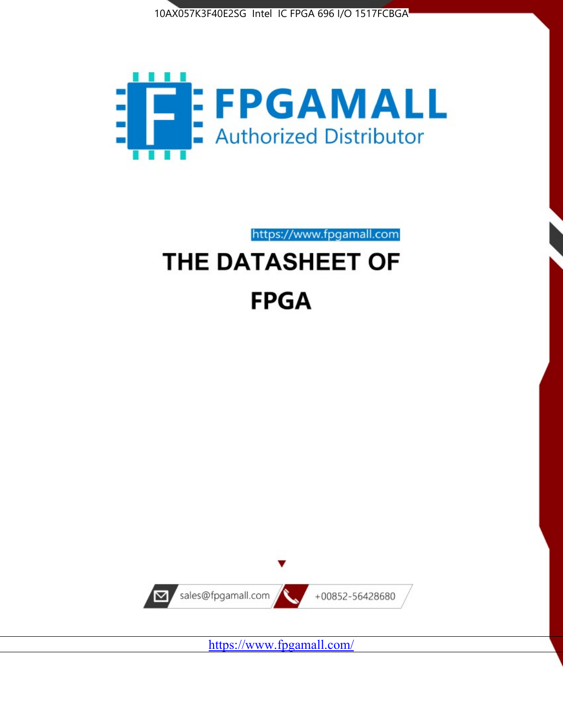



https://www.fpgamall.com

# THE DATASHEET OF **FPGA**



<https://www.fpgamall.com/>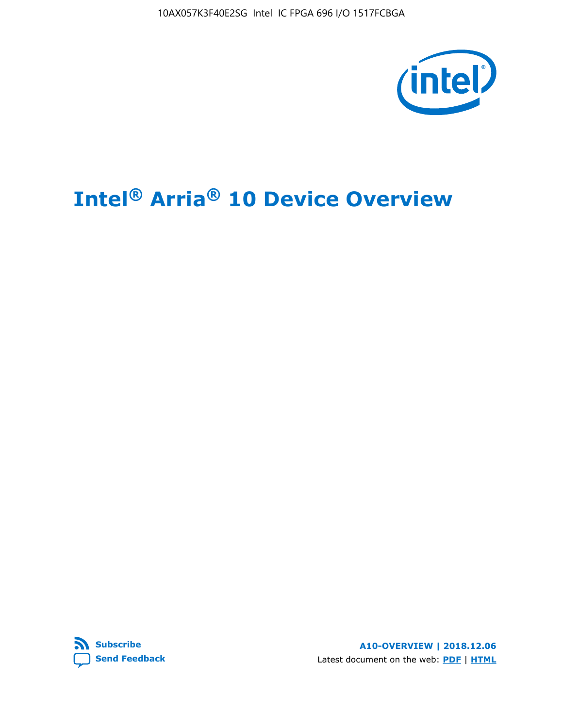10AX057K3F40E2SG Intel IC FPGA 696 I/O 1517FCBGA



# **Intel® Arria® 10 Device Overview**



**A10-OVERVIEW | 2018.12.06** Latest document on the web: **[PDF](https://www.intel.com/content/dam/www/programmable/us/en/pdfs/literature/hb/arria-10/a10_overview.pdf)** | **[HTML](https://www.intel.com/content/www/us/en/programmable/documentation/sam1403480274650.html)**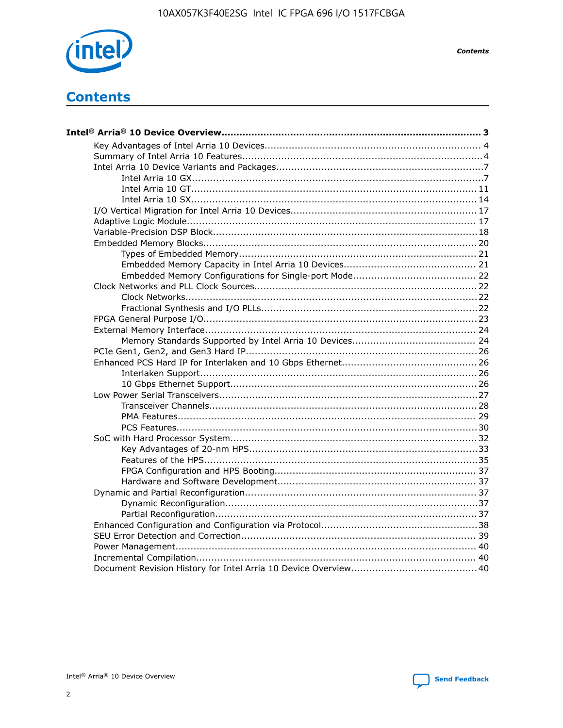

**Contents** 

# **Contents**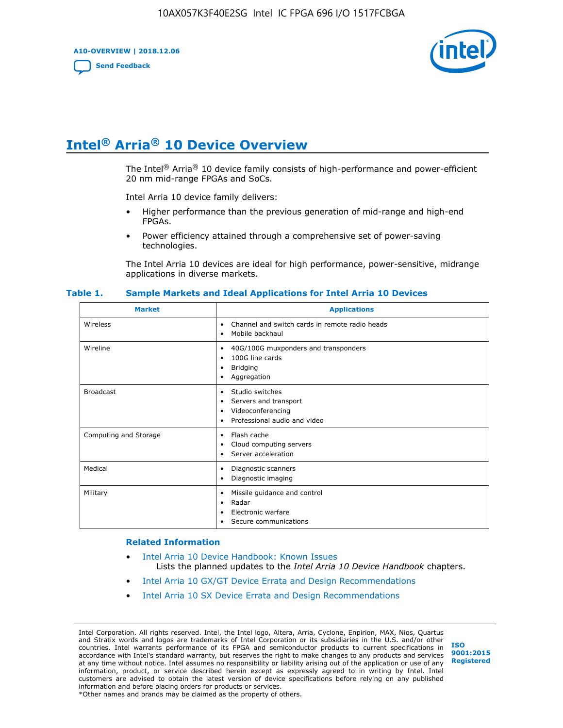**A10-OVERVIEW | 2018.12.06**

**[Send Feedback](mailto:FPGAtechdocfeedback@intel.com?subject=Feedback%20on%20Intel%20Arria%2010%20Device%20Overview%20(A10-OVERVIEW%202018.12.06)&body=We%20appreciate%20your%20feedback.%20In%20your%20comments,%20also%20specify%20the%20page%20number%20or%20paragraph.%20Thank%20you.)**



# **Intel® Arria® 10 Device Overview**

The Intel<sup>®</sup> Arria<sup>®</sup> 10 device family consists of high-performance and power-efficient 20 nm mid-range FPGAs and SoCs.

Intel Arria 10 device family delivers:

- Higher performance than the previous generation of mid-range and high-end FPGAs.
- Power efficiency attained through a comprehensive set of power-saving technologies.

The Intel Arria 10 devices are ideal for high performance, power-sensitive, midrange applications in diverse markets.

| <b>Market</b>         | <b>Applications</b>                                                                                               |
|-----------------------|-------------------------------------------------------------------------------------------------------------------|
| Wireless              | Channel and switch cards in remote radio heads<br>٠<br>Mobile backhaul<br>٠                                       |
| Wireline              | 40G/100G muxponders and transponders<br>٠<br>100G line cards<br>٠<br><b>Bridging</b><br>٠<br>Aggregation<br>٠     |
| <b>Broadcast</b>      | Studio switches<br>٠<br>Servers and transport<br>٠<br>Videoconferencing<br>٠<br>Professional audio and video<br>٠ |
| Computing and Storage | Flash cache<br>٠<br>Cloud computing servers<br>٠<br>Server acceleration<br>٠                                      |
| Medical               | Diagnostic scanners<br>٠<br>Diagnostic imaging<br>٠                                                               |
| Military              | Missile guidance and control<br>٠<br>Radar<br>٠<br>Electronic warfare<br>٠<br>Secure communications<br>٠          |

#### **Table 1. Sample Markets and Ideal Applications for Intel Arria 10 Devices**

#### **Related Information**

- [Intel Arria 10 Device Handbook: Known Issues](http://www.altera.com/support/kdb/solutions/rd07302013_646.html) Lists the planned updates to the *Intel Arria 10 Device Handbook* chapters.
- [Intel Arria 10 GX/GT Device Errata and Design Recommendations](https://www.intel.com/content/www/us/en/programmable/documentation/agz1493851706374.html#yqz1494433888646)
- [Intel Arria 10 SX Device Errata and Design Recommendations](https://www.intel.com/content/www/us/en/programmable/documentation/cru1462832385668.html#cru1462832558642)

Intel Corporation. All rights reserved. Intel, the Intel logo, Altera, Arria, Cyclone, Enpirion, MAX, Nios, Quartus and Stratix words and logos are trademarks of Intel Corporation or its subsidiaries in the U.S. and/or other countries. Intel warrants performance of its FPGA and semiconductor products to current specifications in accordance with Intel's standard warranty, but reserves the right to make changes to any products and services at any time without notice. Intel assumes no responsibility or liability arising out of the application or use of any information, product, or service described herein except as expressly agreed to in writing by Intel. Intel customers are advised to obtain the latest version of device specifications before relying on any published information and before placing orders for products or services. \*Other names and brands may be claimed as the property of others.

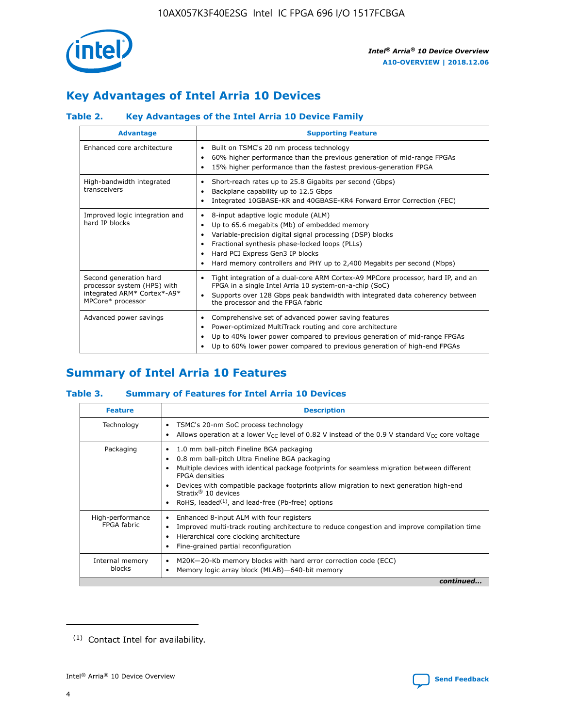

# **Key Advantages of Intel Arria 10 Devices**

# **Table 2. Key Advantages of the Intel Arria 10 Device Family**

| <b>Advantage</b>                                                                                          | <b>Supporting Feature</b>                                                                                                                                                                                                                                                                                                |
|-----------------------------------------------------------------------------------------------------------|--------------------------------------------------------------------------------------------------------------------------------------------------------------------------------------------------------------------------------------------------------------------------------------------------------------------------|
| Enhanced core architecture                                                                                | Built on TSMC's 20 nm process technology<br>٠<br>60% higher performance than the previous generation of mid-range FPGAs<br>٠<br>15% higher performance than the fastest previous-generation FPGA<br>٠                                                                                                                    |
| High-bandwidth integrated<br>transceivers                                                                 | Short-reach rates up to 25.8 Gigabits per second (Gbps)<br>٠<br>Backplane capability up to 12.5 Gbps<br>٠<br>Integrated 10GBASE-KR and 40GBASE-KR4 Forward Error Correction (FEC)<br>٠                                                                                                                                   |
| Improved logic integration and<br>hard IP blocks                                                          | 8-input adaptive logic module (ALM)<br>٠<br>Up to 65.6 megabits (Mb) of embedded memory<br>٠<br>Variable-precision digital signal processing (DSP) blocks<br>Fractional synthesis phase-locked loops (PLLs)<br>Hard PCI Express Gen3 IP blocks<br>Hard memory controllers and PHY up to 2,400 Megabits per second (Mbps) |
| Second generation hard<br>processor system (HPS) with<br>integrated ARM* Cortex*-A9*<br>MPCore* processor | Tight integration of a dual-core ARM Cortex-A9 MPCore processor, hard IP, and an<br>٠<br>FPGA in a single Intel Arria 10 system-on-a-chip (SoC)<br>Supports over 128 Gbps peak bandwidth with integrated data coherency between<br>$\bullet$<br>the processor and the FPGA fabric                                        |
| Advanced power savings                                                                                    | Comprehensive set of advanced power saving features<br>٠<br>Power-optimized MultiTrack routing and core architecture<br>٠<br>Up to 40% lower power compared to previous generation of mid-range FPGAs<br>٠<br>Up to 60% lower power compared to previous generation of high-end FPGAs<br>٠                               |

# **Summary of Intel Arria 10 Features**

## **Table 3. Summary of Features for Intel Arria 10 Devices**

| <b>Feature</b>                  | <b>Description</b>                                                                                                                                                                                                                                                                                                                                                                                           |
|---------------------------------|--------------------------------------------------------------------------------------------------------------------------------------------------------------------------------------------------------------------------------------------------------------------------------------------------------------------------------------------------------------------------------------------------------------|
| Technology                      | TSMC's 20-nm SoC process technology<br>Allows operation at a lower $V_{\text{CC}}$ level of 0.82 V instead of the 0.9 V standard $V_{\text{CC}}$ core voltage                                                                                                                                                                                                                                                |
| Packaging                       | 1.0 mm ball-pitch Fineline BGA packaging<br>٠<br>0.8 mm ball-pitch Ultra Fineline BGA packaging<br>Multiple devices with identical package footprints for seamless migration between different<br><b>FPGA</b> densities<br>Devices with compatible package footprints allow migration to next generation high-end<br>Stratix <sup>®</sup> 10 devices<br>RoHS, leaded $(1)$ , and lead-free (Pb-free) options |
| High-performance<br>FPGA fabric | Enhanced 8-input ALM with four registers<br>Improved multi-track routing architecture to reduce congestion and improve compilation time<br>Hierarchical core clocking architecture<br>Fine-grained partial reconfiguration                                                                                                                                                                                   |
| Internal memory<br>blocks       | M20K-20-Kb memory blocks with hard error correction code (ECC)<br>Memory logic array block (MLAB)-640-bit memory                                                                                                                                                                                                                                                                                             |
|                                 | continued                                                                                                                                                                                                                                                                                                                                                                                                    |



<sup>(1)</sup> Contact Intel for availability.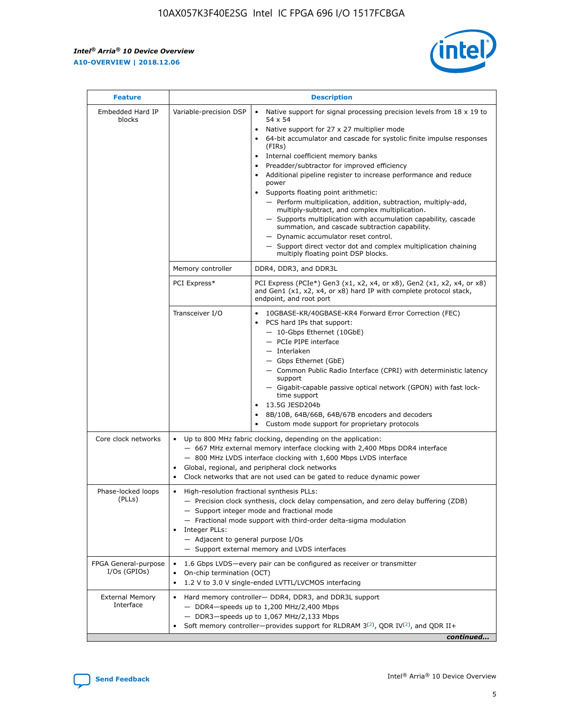r



| <b>Feature</b>                         | <b>Description</b>                                                                                             |                                                                                                                                                                                                                                                                                                                                                                                                                                                                                                                                                                                                                                                                                                                                                                                                                                                                  |  |  |  |  |  |
|----------------------------------------|----------------------------------------------------------------------------------------------------------------|------------------------------------------------------------------------------------------------------------------------------------------------------------------------------------------------------------------------------------------------------------------------------------------------------------------------------------------------------------------------------------------------------------------------------------------------------------------------------------------------------------------------------------------------------------------------------------------------------------------------------------------------------------------------------------------------------------------------------------------------------------------------------------------------------------------------------------------------------------------|--|--|--|--|--|
| Embedded Hard IP<br>blocks             | Variable-precision DSP                                                                                         | Native support for signal processing precision levels from $18 \times 19$ to<br>$\bullet$<br>54 x 54<br>Native support for 27 x 27 multiplier mode<br>$\bullet$<br>64-bit accumulator and cascade for systolic finite impulse responses<br>(FIRs)<br>Internal coefficient memory banks<br>$\bullet$<br>Preadder/subtractor for improved efficiency<br>Additional pipeline register to increase performance and reduce<br>power<br>Supports floating point arithmetic:<br>- Perform multiplication, addition, subtraction, multiply-add,<br>multiply-subtract, and complex multiplication.<br>- Supports multiplication with accumulation capability, cascade<br>summation, and cascade subtraction capability.<br>- Dynamic accumulator reset control.<br>- Support direct vector dot and complex multiplication chaining<br>multiply floating point DSP blocks. |  |  |  |  |  |
|                                        | Memory controller                                                                                              | DDR4, DDR3, and DDR3L                                                                                                                                                                                                                                                                                                                                                                                                                                                                                                                                                                                                                                                                                                                                                                                                                                            |  |  |  |  |  |
|                                        | PCI Express*                                                                                                   | PCI Express (PCIe*) Gen3 (x1, x2, x4, or x8), Gen2 (x1, x2, x4, or x8)<br>and Gen1 (x1, x2, x4, or x8) hard IP with complete protocol stack,<br>endpoint, and root port                                                                                                                                                                                                                                                                                                                                                                                                                                                                                                                                                                                                                                                                                          |  |  |  |  |  |
|                                        | Transceiver I/O                                                                                                | 10GBASE-KR/40GBASE-KR4 Forward Error Correction (FEC)<br>PCS hard IPs that support:<br>- 10-Gbps Ethernet (10GbE)<br>- PCIe PIPE interface<br>- Interlaken<br>- Gbps Ethernet (GbE)<br>- Common Public Radio Interface (CPRI) with deterministic latency<br>support<br>- Gigabit-capable passive optical network (GPON) with fast lock-<br>time support<br>13.5G JESD204b<br>$\bullet$<br>8B/10B, 64B/66B, 64B/67B encoders and decoders<br>Custom mode support for proprietary protocols                                                                                                                                                                                                                                                                                                                                                                        |  |  |  |  |  |
| Core clock networks                    | $\bullet$                                                                                                      | Up to 800 MHz fabric clocking, depending on the application:<br>- 667 MHz external memory interface clocking with 2,400 Mbps DDR4 interface<br>- 800 MHz LVDS interface clocking with 1,600 Mbps LVDS interface<br>Global, regional, and peripheral clock networks<br>Clock networks that are not used can be gated to reduce dynamic power                                                                                                                                                                                                                                                                                                                                                                                                                                                                                                                      |  |  |  |  |  |
| Phase-locked loops<br>(PLLs)           | High-resolution fractional synthesis PLLs:<br>$\bullet$<br>Integer PLLs:<br>- Adjacent to general purpose I/Os | - Precision clock synthesis, clock delay compensation, and zero delay buffering (ZDB)<br>- Support integer mode and fractional mode<br>- Fractional mode support with third-order delta-sigma modulation<br>- Support external memory and LVDS interfaces                                                                                                                                                                                                                                                                                                                                                                                                                                                                                                                                                                                                        |  |  |  |  |  |
| FPGA General-purpose<br>$I/Os$ (GPIOs) | On-chip termination (OCT)<br>$\bullet$                                                                         | 1.6 Gbps LVDS-every pair can be configured as receiver or transmitter<br>1.2 V to 3.0 V single-ended LVTTL/LVCMOS interfacing                                                                                                                                                                                                                                                                                                                                                                                                                                                                                                                                                                                                                                                                                                                                    |  |  |  |  |  |
| <b>External Memory</b><br>Interface    | $\bullet$                                                                                                      | Hard memory controller- DDR4, DDR3, and DDR3L support<br>$-$ DDR4-speeds up to 1,200 MHz/2,400 Mbps<br>- DDR3-speeds up to 1,067 MHz/2,133 Mbps<br>Soft memory controller—provides support for RLDRAM $3^{(2)}$ , QDR IV $^{(2)}$ , and QDR II+<br>continued                                                                                                                                                                                                                                                                                                                                                                                                                                                                                                                                                                                                     |  |  |  |  |  |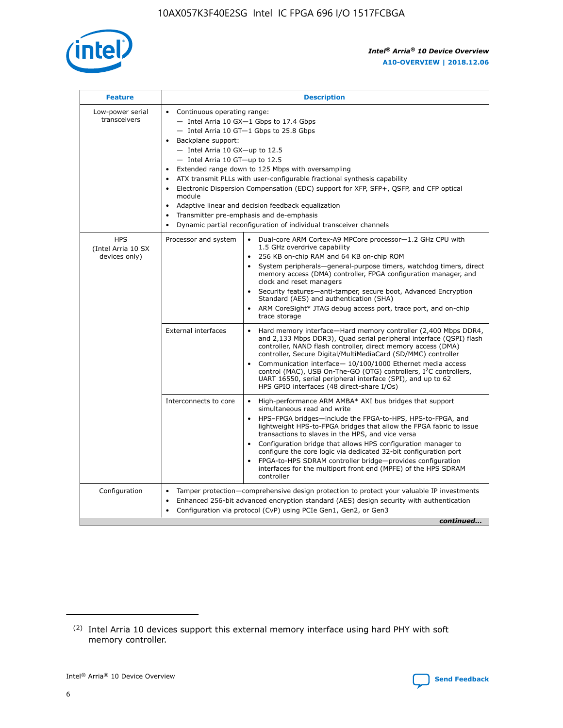

| <b>Feature</b>                                    | <b>Description</b>                                                                                                                                                                                                                                                                                                                                                                                                                                                                                                                                                                                                                         |  |  |  |  |  |  |  |
|---------------------------------------------------|--------------------------------------------------------------------------------------------------------------------------------------------------------------------------------------------------------------------------------------------------------------------------------------------------------------------------------------------------------------------------------------------------------------------------------------------------------------------------------------------------------------------------------------------------------------------------------------------------------------------------------------------|--|--|--|--|--|--|--|
| Low-power serial<br>transceivers                  | • Continuous operating range:<br>- Intel Arria 10 GX-1 Gbps to 17.4 Gbps<br>- Intel Arria 10 GT-1 Gbps to 25.8 Gbps<br>Backplane support:<br>$-$ Intel Arria 10 GX-up to 12.5<br>- Intel Arria 10 GT-up to 12.5<br>Extended range down to 125 Mbps with oversampling<br>ATX transmit PLLs with user-configurable fractional synthesis capability<br>Electronic Dispersion Compensation (EDC) support for XFP, SFP+, QSFP, and CFP optical<br>module<br>• Adaptive linear and decision feedback equalization<br>Transmitter pre-emphasis and de-emphasis<br>$\bullet$<br>Dynamic partial reconfiguration of individual transceiver channels |  |  |  |  |  |  |  |
| <b>HPS</b><br>(Intel Arria 10 SX<br>devices only) | Dual-core ARM Cortex-A9 MPCore processor-1.2 GHz CPU with<br>Processor and system<br>$\bullet$<br>1.5 GHz overdrive capability<br>256 KB on-chip RAM and 64 KB on-chip ROM<br>System peripherals-general-purpose timers, watchdog timers, direct<br>memory access (DMA) controller, FPGA configuration manager, and<br>clock and reset managers<br>Security features-anti-tamper, secure boot, Advanced Encryption<br>$\bullet$<br>Standard (AES) and authentication (SHA)<br>ARM CoreSight* JTAG debug access port, trace port, and on-chip<br>trace storage                                                                              |  |  |  |  |  |  |  |
|                                                   | <b>External interfaces</b><br>Hard memory interface-Hard memory controller (2,400 Mbps DDR4,<br>$\bullet$<br>and 2,133 Mbps DDR3), Quad serial peripheral interface (QSPI) flash<br>controller, NAND flash controller, direct memory access (DMA)<br>controller, Secure Digital/MultiMediaCard (SD/MMC) controller<br>Communication interface-10/100/1000 Ethernet media access<br>$\bullet$<br>control (MAC), USB On-The-GO (OTG) controllers, I <sup>2</sup> C controllers,<br>UART 16550, serial peripheral interface (SPI), and up to 62<br>HPS GPIO interfaces (48 direct-share I/Os)                                                 |  |  |  |  |  |  |  |
|                                                   | High-performance ARM AMBA* AXI bus bridges that support<br>Interconnects to core<br>$\bullet$<br>simultaneous read and write<br>HPS-FPGA bridges-include the FPGA-to-HPS, HPS-to-FPGA, and<br>$\bullet$<br>lightweight HPS-to-FPGA bridges that allow the FPGA fabric to issue<br>transactions to slaves in the HPS, and vice versa<br>Configuration bridge that allows HPS configuration manager to<br>configure the core logic via dedicated 32-bit configuration port<br>FPGA-to-HPS SDRAM controller bridge-provides configuration<br>interfaces for the multiport front end (MPFE) of the HPS SDRAM<br>controller                     |  |  |  |  |  |  |  |
| Configuration                                     | Tamper protection—comprehensive design protection to protect your valuable IP investments<br>Enhanced 256-bit advanced encryption standard (AES) design security with authentication<br>٠<br>Configuration via protocol (CvP) using PCIe Gen1, Gen2, or Gen3<br>continued                                                                                                                                                                                                                                                                                                                                                                  |  |  |  |  |  |  |  |

<sup>(2)</sup> Intel Arria 10 devices support this external memory interface using hard PHY with soft memory controller.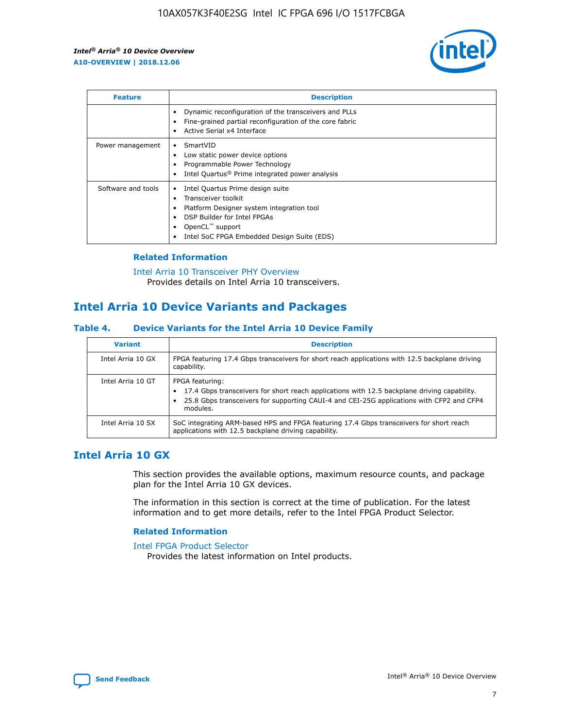

| <b>Feature</b>     | <b>Description</b>                                                                                                                                                                                               |
|--------------------|------------------------------------------------------------------------------------------------------------------------------------------------------------------------------------------------------------------|
|                    | Dynamic reconfiguration of the transceivers and PLLs<br>Fine-grained partial reconfiguration of the core fabric<br>Active Serial x4 Interface<br>$\bullet$                                                       |
| Power management   | SmartVID<br>Low static power device options<br>Programmable Power Technology<br>Intel Quartus <sup>®</sup> Prime integrated power analysis                                                                       |
| Software and tools | Intel Quartus Prime design suite<br>Transceiver toolkit<br>Platform Designer system integration tool<br>DSP Builder for Intel FPGAs<br>OpenCL <sup>™</sup> support<br>Intel SoC FPGA Embedded Design Suite (EDS) |

## **Related Information**

[Intel Arria 10 Transceiver PHY Overview](https://www.intel.com/content/www/us/en/programmable/documentation/nik1398707230472.html#nik1398706768037) Provides details on Intel Arria 10 transceivers.

# **Intel Arria 10 Device Variants and Packages**

#### **Table 4. Device Variants for the Intel Arria 10 Device Family**

| <b>Variant</b>    | <b>Description</b>                                                                                                                                                                                                     |
|-------------------|------------------------------------------------------------------------------------------------------------------------------------------------------------------------------------------------------------------------|
| Intel Arria 10 GX | FPGA featuring 17.4 Gbps transceivers for short reach applications with 12.5 backplane driving<br>capability.                                                                                                          |
| Intel Arria 10 GT | FPGA featuring:<br>17.4 Gbps transceivers for short reach applications with 12.5 backplane driving capability.<br>25.8 Gbps transceivers for supporting CAUI-4 and CEI-25G applications with CFP2 and CFP4<br>modules. |
| Intel Arria 10 SX | SoC integrating ARM-based HPS and FPGA featuring 17.4 Gbps transceivers for short reach<br>applications with 12.5 backplane driving capability.                                                                        |

# **Intel Arria 10 GX**

This section provides the available options, maximum resource counts, and package plan for the Intel Arria 10 GX devices.

The information in this section is correct at the time of publication. For the latest information and to get more details, refer to the Intel FPGA Product Selector.

## **Related Information**

#### [Intel FPGA Product Selector](http://www.altera.com/products/selector/psg-selector.html) Provides the latest information on Intel products.

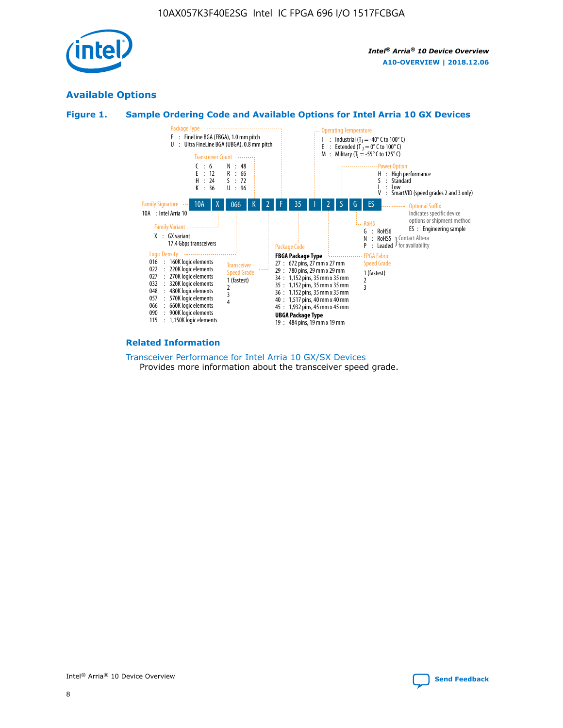

# **Available Options**





#### **Related Information**

[Transceiver Performance for Intel Arria 10 GX/SX Devices](https://www.intel.com/content/www/us/en/programmable/documentation/mcn1413182292568.html#mcn1413213965502) Provides more information about the transceiver speed grade.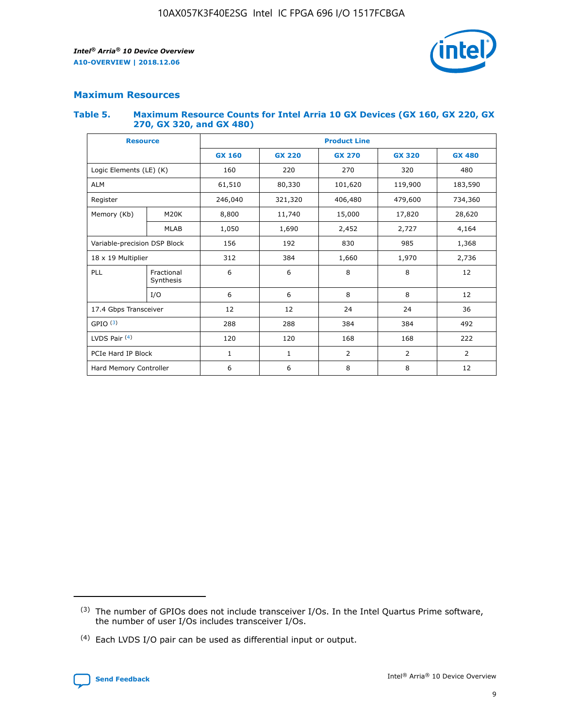

## **Maximum Resources**

#### **Table 5. Maximum Resource Counts for Intel Arria 10 GX Devices (GX 160, GX 220, GX 270, GX 320, and GX 480)**

| <b>Resource</b>              |                         | <b>Product Line</b> |                                                 |                |                |                |  |  |  |
|------------------------------|-------------------------|---------------------|-------------------------------------------------|----------------|----------------|----------------|--|--|--|
|                              |                         | <b>GX 160</b>       | <b>GX 220</b><br><b>GX 270</b><br><b>GX 320</b> |                |                | <b>GX 480</b>  |  |  |  |
| Logic Elements (LE) (K)      |                         | 160                 | 220                                             | 270            | 320            | 480            |  |  |  |
| <b>ALM</b>                   |                         | 61,510              | 80,330                                          | 101,620        | 119,900        | 183,590        |  |  |  |
| Register                     |                         | 246,040             | 406,480<br>321,320                              |                | 479,600        | 734,360        |  |  |  |
| Memory (Kb)                  | M <sub>20</sub> K       | 8,800               | 11,740                                          | 15,000         | 17,820         | 28,620         |  |  |  |
|                              | <b>MLAB</b>             | 1,050               | 1,690                                           | 2,452          | 2,727          | 4,164          |  |  |  |
| Variable-precision DSP Block |                         | 156                 | 192                                             | 830            | 985            | 1,368          |  |  |  |
| 18 x 19 Multiplier           |                         | 312                 | 384                                             | 1,970<br>1,660 |                | 2,736          |  |  |  |
| PLL                          | Fractional<br>Synthesis | 6                   | 6                                               | 8              | 8              | 12             |  |  |  |
|                              | I/O                     | 6                   | 6                                               | 8              | 8              | 12             |  |  |  |
| 17.4 Gbps Transceiver        |                         | 12                  | 12                                              | 24             | 24             | 36             |  |  |  |
| GPIO <sup>(3)</sup>          |                         | 288                 | 288                                             | 384            | 384            | 492            |  |  |  |
| LVDS Pair $(4)$              |                         | 120                 | 120                                             | 168            | 168            | 222            |  |  |  |
| PCIe Hard IP Block           |                         | 1                   | 1                                               | 2              | $\overline{2}$ | $\overline{2}$ |  |  |  |
| Hard Memory Controller       |                         | 6                   | 6                                               | 8              | 8              | 12             |  |  |  |

<sup>(4)</sup> Each LVDS I/O pair can be used as differential input or output.



<sup>(3)</sup> The number of GPIOs does not include transceiver I/Os. In the Intel Quartus Prime software, the number of user I/Os includes transceiver I/Os.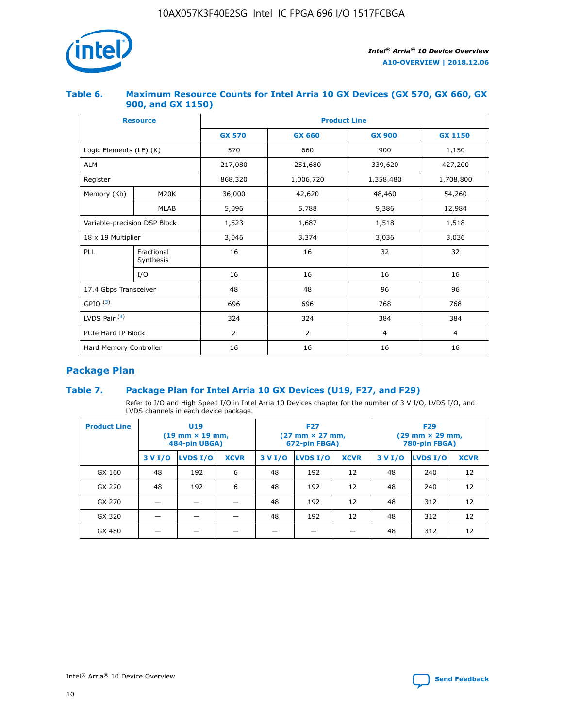

## **Table 6. Maximum Resource Counts for Intel Arria 10 GX Devices (GX 570, GX 660, GX 900, and GX 1150)**

|                              | <b>Resource</b>         | <b>Product Line</b> |                |                |                |  |  |  |
|------------------------------|-------------------------|---------------------|----------------|----------------|----------------|--|--|--|
|                              |                         | <b>GX 570</b>       | <b>GX 660</b>  | <b>GX 900</b>  | <b>GX 1150</b> |  |  |  |
| Logic Elements (LE) (K)      |                         | 570                 | 660            | 900            | 1,150          |  |  |  |
| <b>ALM</b>                   |                         | 217,080             | 251,680        | 339,620        | 427,200        |  |  |  |
| Register                     |                         | 868,320             | 1,006,720      |                | 1,708,800      |  |  |  |
| Memory (Kb)                  | <b>M20K</b>             | 36,000              | 42,620         | 48,460         | 54,260         |  |  |  |
|                              | <b>MLAB</b>             | 5,096               | 5,788          | 9,386          | 12,984         |  |  |  |
| Variable-precision DSP Block |                         | 1,523               | 1,687          | 1,518          | 1,518          |  |  |  |
| $18 \times 19$ Multiplier    |                         | 3,046               | 3,374          | 3,036          | 3,036          |  |  |  |
| PLL                          | Fractional<br>Synthesis | 16                  | 16             | 32             | 32             |  |  |  |
|                              | I/O                     | 16                  | 16             | 16             | 16             |  |  |  |
| 17.4 Gbps Transceiver        |                         | 48                  | 48<br>96       |                | 96             |  |  |  |
| GPIO <sup>(3)</sup>          |                         | 696                 | 696            | 768            | 768            |  |  |  |
| LVDS Pair $(4)$              |                         | 324                 | 324            | 384            | 384            |  |  |  |
| PCIe Hard IP Block           |                         | 2                   | $\overline{2}$ | $\overline{4}$ | 4              |  |  |  |
| Hard Memory Controller       |                         | 16                  | 16             | 16             | 16             |  |  |  |

# **Package Plan**

# **Table 7. Package Plan for Intel Arria 10 GX Devices (U19, F27, and F29)**

Refer to I/O and High Speed I/O in Intel Arria 10 Devices chapter for the number of 3 V I/O, LVDS I/O, and LVDS channels in each device package.

| <b>Product Line</b> | U <sub>19</sub><br>$(19 \text{ mm} \times 19 \text{ mm})$<br>484-pin UBGA) |          |             |         | <b>F27</b><br>(27 mm × 27 mm,<br>672-pin FBGA) |             | <b>F29</b><br>(29 mm × 29 mm,<br>780-pin FBGA) |          |             |  |
|---------------------|----------------------------------------------------------------------------|----------|-------------|---------|------------------------------------------------|-------------|------------------------------------------------|----------|-------------|--|
|                     | 3 V I/O                                                                    | LVDS I/O | <b>XCVR</b> | 3 V I/O | LVDS I/O                                       | <b>XCVR</b> | 3 V I/O                                        | LVDS I/O | <b>XCVR</b> |  |
| GX 160              | 48                                                                         | 192      | 6           | 48      | 192                                            | 12          | 48                                             | 240      | 12          |  |
| GX 220              | 48                                                                         | 192      | 6           | 48      | 192                                            | 12          | 48                                             | 240      | 12          |  |
| GX 270              |                                                                            |          |             | 48      | 192                                            | 12          | 48                                             | 312      | 12          |  |
| GX 320              |                                                                            |          |             | 48      | 192                                            | 12          | 48                                             | 312      | 12          |  |
| GX 480              |                                                                            |          |             |         |                                                |             | 48                                             | 312      | 12          |  |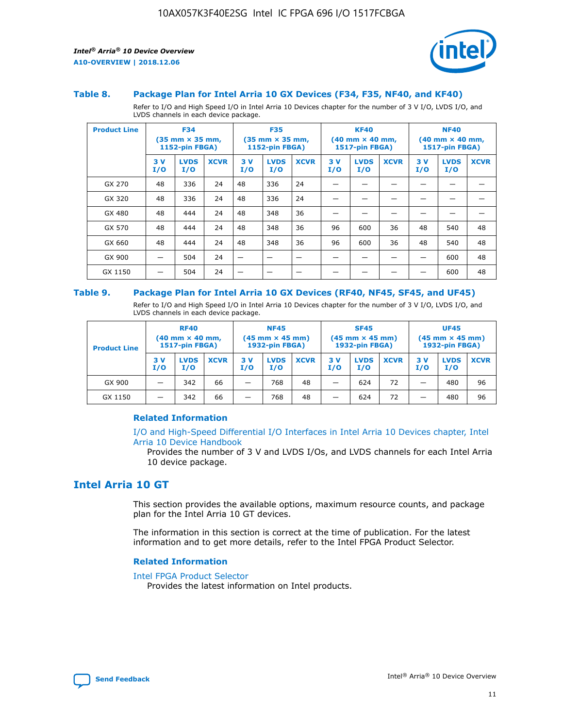

#### **Table 8. Package Plan for Intel Arria 10 GX Devices (F34, F35, NF40, and KF40)**

Refer to I/O and High Speed I/O in Intel Arria 10 Devices chapter for the number of 3 V I/O, LVDS I/O, and LVDS channels in each device package.

| <b>Product Line</b> | <b>F34</b><br>$(35 \text{ mm} \times 35 \text{ mm})$<br>1152-pin FBGA) |                    | <b>F35</b><br>$(35 \text{ mm} \times 35 \text{ mm})$<br><b>1152-pin FBGA)</b> |           | <b>KF40</b><br>$(40$ mm $\times$ 40 mm,<br>1517-pin FBGA) |             |           | <b>NF40</b><br>$(40$ mm $\times$ 40 mm,<br><b>1517-pin FBGA)</b> |             |            |                    |             |
|---------------------|------------------------------------------------------------------------|--------------------|-------------------------------------------------------------------------------|-----------|-----------------------------------------------------------|-------------|-----------|------------------------------------------------------------------|-------------|------------|--------------------|-------------|
|                     | 3V<br>I/O                                                              | <b>LVDS</b><br>I/O | <b>XCVR</b>                                                                   | 3V<br>I/O | <b>LVDS</b><br>I/O                                        | <b>XCVR</b> | 3V<br>I/O | <b>LVDS</b><br>I/O                                               | <b>XCVR</b> | 3 V<br>I/O | <b>LVDS</b><br>I/O | <b>XCVR</b> |
| GX 270              | 48                                                                     | 336                | 24                                                                            | 48        | 336                                                       | 24          |           |                                                                  |             |            |                    |             |
| GX 320              | 48                                                                     | 336                | 24                                                                            | 48        | 336                                                       | 24          |           |                                                                  |             |            |                    |             |
| GX 480              | 48                                                                     | 444                | 24                                                                            | 48        | 348                                                       | 36          |           |                                                                  |             |            |                    |             |
| GX 570              | 48                                                                     | 444                | 24                                                                            | 48        | 348                                                       | 36          | 96        | 600                                                              | 36          | 48         | 540                | 48          |
| GX 660              | 48                                                                     | 444                | 24                                                                            | 48        | 348                                                       | 36          | 96        | 600                                                              | 36          | 48         | 540                | 48          |
| GX 900              |                                                                        | 504                | 24                                                                            | -         |                                                           |             |           |                                                                  |             |            | 600                | 48          |
| GX 1150             |                                                                        | 504                | 24                                                                            |           |                                                           |             |           |                                                                  |             |            | 600                | 48          |

#### **Table 9. Package Plan for Intel Arria 10 GX Devices (RF40, NF45, SF45, and UF45)**

Refer to I/O and High Speed I/O in Intel Arria 10 Devices chapter for the number of 3 V I/O, LVDS I/O, and LVDS channels in each device package.

| <b>Product Line</b> | <b>RF40</b><br>$(40$ mm $\times$ 40 mm,<br>1517-pin FBGA) |                    |             | <b>NF45</b><br>$(45 \text{ mm} \times 45 \text{ mm})$<br><b>1932-pin FBGA)</b> |                    |             | <b>SF45</b><br>$(45 \text{ mm} \times 45 \text{ mm})$<br><b>1932-pin FBGA)</b> |                    |             | <b>UF45</b><br>$(45 \text{ mm} \times 45 \text{ mm})$<br><b>1932-pin FBGA)</b> |                    |             |
|---------------------|-----------------------------------------------------------|--------------------|-------------|--------------------------------------------------------------------------------|--------------------|-------------|--------------------------------------------------------------------------------|--------------------|-------------|--------------------------------------------------------------------------------|--------------------|-------------|
|                     | 3V<br>I/O                                                 | <b>LVDS</b><br>I/O | <b>XCVR</b> | 3 V<br>I/O                                                                     | <b>LVDS</b><br>I/O | <b>XCVR</b> | 3 V<br>I/O                                                                     | <b>LVDS</b><br>I/O | <b>XCVR</b> | 3V<br>I/O                                                                      | <b>LVDS</b><br>I/O | <b>XCVR</b> |
| GX 900              |                                                           | 342                | 66          | _                                                                              | 768                | 48          |                                                                                | 624                | 72          |                                                                                | 480                | 96          |
| GX 1150             |                                                           | 342                | 66          | _                                                                              | 768                | 48          |                                                                                | 624                | 72          |                                                                                | 480                | 96          |

## **Related Information**

[I/O and High-Speed Differential I/O Interfaces in Intel Arria 10 Devices chapter, Intel](https://www.intel.com/content/www/us/en/programmable/documentation/sam1403482614086.html#sam1403482030321) [Arria 10 Device Handbook](https://www.intel.com/content/www/us/en/programmable/documentation/sam1403482614086.html#sam1403482030321)

Provides the number of 3 V and LVDS I/Os, and LVDS channels for each Intel Arria 10 device package.

# **Intel Arria 10 GT**

This section provides the available options, maximum resource counts, and package plan for the Intel Arria 10 GT devices.

The information in this section is correct at the time of publication. For the latest information and to get more details, refer to the Intel FPGA Product Selector.

#### **Related Information**

#### [Intel FPGA Product Selector](http://www.altera.com/products/selector/psg-selector.html)

Provides the latest information on Intel products.

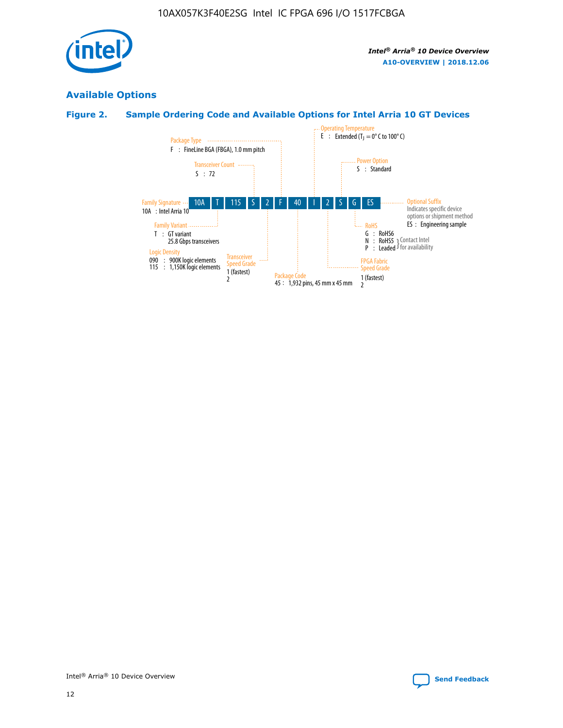

# **Available Options**

# **Figure 2. Sample Ordering Code and Available Options for Intel Arria 10 GT Devices**

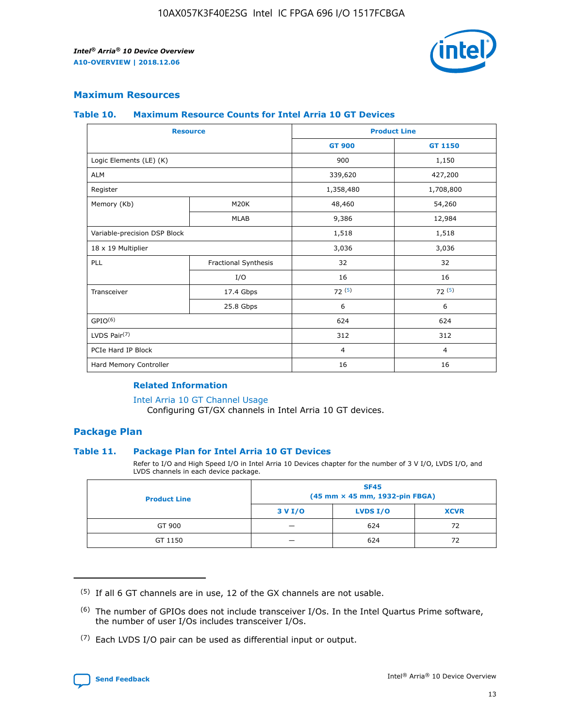

## **Maximum Resources**

#### **Table 10. Maximum Resource Counts for Intel Arria 10 GT Devices**

| <b>Resource</b>              |                      |                | <b>Product Line</b> |  |
|------------------------------|----------------------|----------------|---------------------|--|
|                              |                      | <b>GT 900</b>  | <b>GT 1150</b>      |  |
| Logic Elements (LE) (K)      |                      | 900            | 1,150               |  |
| <b>ALM</b>                   |                      | 339,620        | 427,200             |  |
| Register                     |                      | 1,358,480      | 1,708,800           |  |
| Memory (Kb)                  | M <sub>20</sub> K    | 48,460         | 54,260              |  |
|                              | <b>MLAB</b>          | 9,386          | 12,984              |  |
| Variable-precision DSP Block |                      | 1,518          | 1,518               |  |
| 18 x 19 Multiplier           |                      | 3,036          | 3,036               |  |
| PLL                          | Fractional Synthesis | 32             | 32                  |  |
|                              | I/O                  | 16             | 16                  |  |
| Transceiver                  | 17.4 Gbps            | 72(5)          | 72(5)               |  |
|                              | 25.8 Gbps            | 6              | 6                   |  |
| GPIO <sup>(6)</sup>          |                      | 624            | 624                 |  |
| LVDS Pair $(7)$              |                      | 312            | 312                 |  |
| PCIe Hard IP Block           |                      | $\overline{4}$ | $\overline{4}$      |  |
| Hard Memory Controller       |                      | 16             | 16                  |  |

## **Related Information**

#### [Intel Arria 10 GT Channel Usage](https://www.intel.com/content/www/us/en/programmable/documentation/nik1398707230472.html#nik1398707008178)

Configuring GT/GX channels in Intel Arria 10 GT devices.

## **Package Plan**

### **Table 11. Package Plan for Intel Arria 10 GT Devices**

Refer to I/O and High Speed I/O in Intel Arria 10 Devices chapter for the number of 3 V I/O, LVDS I/O, and LVDS channels in each device package.

| <b>Product Line</b> | <b>SF45</b><br>(45 mm × 45 mm, 1932-pin FBGA) |                 |             |  |  |  |  |
|---------------------|-----------------------------------------------|-----------------|-------------|--|--|--|--|
|                     | 3 V I/O                                       | <b>LVDS I/O</b> | <b>XCVR</b> |  |  |  |  |
| GT 900              |                                               | 624             | 72          |  |  |  |  |
| GT 1150             |                                               | 624             |             |  |  |  |  |

<sup>(7)</sup> Each LVDS I/O pair can be used as differential input or output.



 $(5)$  If all 6 GT channels are in use, 12 of the GX channels are not usable.

<sup>(6)</sup> The number of GPIOs does not include transceiver I/Os. In the Intel Quartus Prime software, the number of user I/Os includes transceiver I/Os.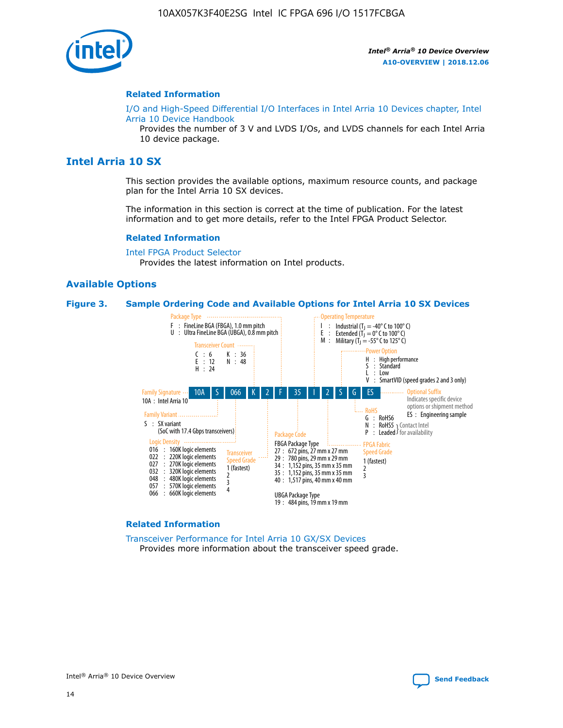

#### **Related Information**

[I/O and High-Speed Differential I/O Interfaces in Intel Arria 10 Devices chapter, Intel](https://www.intel.com/content/www/us/en/programmable/documentation/sam1403482614086.html#sam1403482030321) [Arria 10 Device Handbook](https://www.intel.com/content/www/us/en/programmable/documentation/sam1403482614086.html#sam1403482030321)

Provides the number of 3 V and LVDS I/Os, and LVDS channels for each Intel Arria 10 device package.

# **Intel Arria 10 SX**

This section provides the available options, maximum resource counts, and package plan for the Intel Arria 10 SX devices.

The information in this section is correct at the time of publication. For the latest information and to get more details, refer to the Intel FPGA Product Selector.

#### **Related Information**

[Intel FPGA Product Selector](http://www.altera.com/products/selector/psg-selector.html) Provides the latest information on Intel products.

### **Available Options**

#### **Figure 3. Sample Ordering Code and Available Options for Intel Arria 10 SX Devices**



#### **Related Information**

[Transceiver Performance for Intel Arria 10 GX/SX Devices](https://www.intel.com/content/www/us/en/programmable/documentation/mcn1413182292568.html#mcn1413213965502) Provides more information about the transceiver speed grade.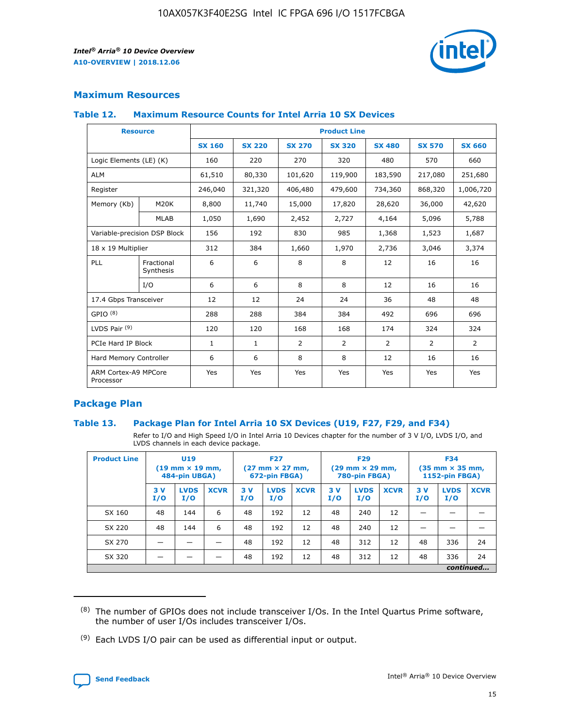

# **Maximum Resources**

### **Table 12. Maximum Resource Counts for Intel Arria 10 SX Devices**

| <b>Resource</b>                   |                         |               |               |                | <b>Product Line</b> |                |                |                |
|-----------------------------------|-------------------------|---------------|---------------|----------------|---------------------|----------------|----------------|----------------|
|                                   |                         | <b>SX 160</b> | <b>SX 220</b> | <b>SX 270</b>  | <b>SX 320</b>       | <b>SX 480</b>  | <b>SX 570</b>  | <b>SX 660</b>  |
| Logic Elements (LE) (K)           |                         | 160           | 220           | 270            | 320                 | 480            | 570            | 660            |
| <b>ALM</b>                        |                         | 61,510        | 80,330        | 101,620        | 119,900             | 183,590        | 217,080        | 251,680        |
| Register                          |                         | 246,040       | 321,320       | 406,480        | 479,600             | 734,360        | 868,320        | 1,006,720      |
| Memory (Kb)                       | M20K                    | 8,800         | 11,740        | 15,000         | 17,820              | 28,620         | 36,000         | 42,620         |
|                                   | <b>MLAB</b>             | 1,050         | 1,690         | 2,452          | 2,727               | 4,164          | 5,096          | 5,788          |
| Variable-precision DSP Block      |                         | 156           | 192           | 830            | 985                 | 1,368          | 1,523          | 1,687          |
| 18 x 19 Multiplier                |                         | 312           | 384           | 1,660          | 1,970               | 2,736          | 3,046          | 3,374          |
| PLL                               | Fractional<br>Synthesis | 6             | 6             | 8              | 8                   | 12             | 16             | 16             |
|                                   | I/O                     | 6             | 6             | 8              | 8                   | 12             | 16             | 16             |
| 17.4 Gbps Transceiver             |                         | 12            | 12            | 24             | 24                  | 36             | 48             | 48             |
| GPIO <sup>(8)</sup>               |                         | 288           | 288           | 384            | 384                 | 492            | 696            | 696            |
| LVDS Pair $(9)$                   |                         | 120           | 120           | 168            | 168                 | 174            | 324            | 324            |
| PCIe Hard IP Block                |                         | $\mathbf{1}$  | 1             | $\overline{2}$ | $\overline{2}$      | $\overline{2}$ | $\overline{2}$ | $\overline{2}$ |
| Hard Memory Controller            |                         | 6             | 6             | 8              | 8                   | 12             | 16             | 16             |
| ARM Cortex-A9 MPCore<br>Processor |                         | Yes           | Yes           | Yes            | Yes                 | Yes            | Yes            | Yes            |

# **Package Plan**

### **Table 13. Package Plan for Intel Arria 10 SX Devices (U19, F27, F29, and F34)**

Refer to I/O and High Speed I/O in Intel Arria 10 Devices chapter for the number of 3 V I/O, LVDS I/O, and LVDS channels in each device package.

| <b>Product Line</b> | U19<br>$(19 \text{ mm} \times 19 \text{ mm})$<br>484-pin UBGA) |                    | <b>F27</b><br>$(27 \text{ mm} \times 27 \text{ mm})$<br>672-pin FBGA) |           | <b>F29</b><br>$(29 \text{ mm} \times 29 \text{ mm})$<br>780-pin FBGA) |             |            | <b>F34</b><br>$(35 \text{ mm} \times 35 \text{ mm})$<br><b>1152-pin FBGA)</b> |             |           |                    |             |
|---------------------|----------------------------------------------------------------|--------------------|-----------------------------------------------------------------------|-----------|-----------------------------------------------------------------------|-------------|------------|-------------------------------------------------------------------------------|-------------|-----------|--------------------|-------------|
|                     | 3V<br>I/O                                                      | <b>LVDS</b><br>I/O | <b>XCVR</b>                                                           | 3V<br>I/O | <b>LVDS</b><br>I/O                                                    | <b>XCVR</b> | 3 V<br>I/O | <b>LVDS</b><br>I/O                                                            | <b>XCVR</b> | 3V<br>I/O | <b>LVDS</b><br>I/O | <b>XCVR</b> |
| SX 160              | 48                                                             | 144                | 6                                                                     | 48        | 192                                                                   | 12          | 48         | 240                                                                           | 12          | –         |                    |             |
| SX 220              | 48                                                             | 144                | 6                                                                     | 48        | 192                                                                   | 12          | 48         | 240                                                                           | 12          |           |                    |             |
| SX 270              |                                                                |                    |                                                                       | 48        | 192                                                                   | 12          | 48         | 312                                                                           | 12          | 48        | 336                | 24          |
| SX 320              |                                                                |                    |                                                                       | 48        | 192                                                                   | 12          | 48         | 312                                                                           | 12          | 48        | 336                | 24          |
| continued           |                                                                |                    |                                                                       |           |                                                                       |             |            |                                                                               |             |           |                    |             |

 $(8)$  The number of GPIOs does not include transceiver I/Os. In the Intel Quartus Prime software, the number of user I/Os includes transceiver I/Os.

 $(9)$  Each LVDS I/O pair can be used as differential input or output.

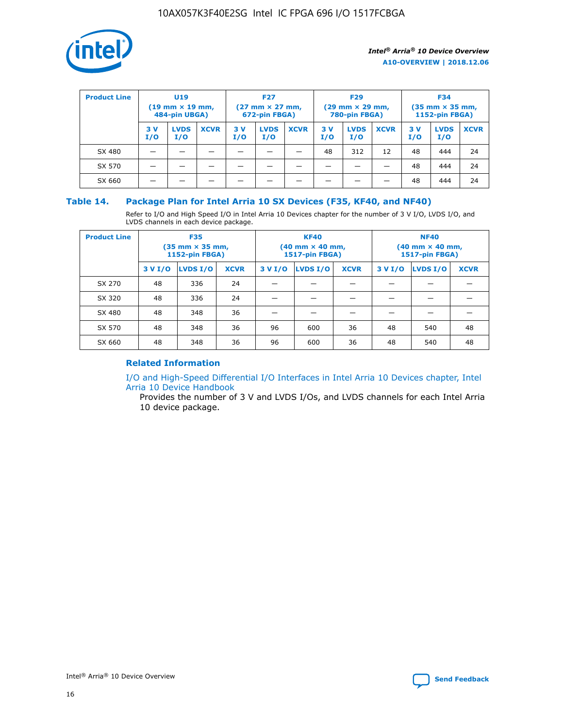

| <b>Product Line</b> | U <sub>19</sub><br>$(19 \text{ mm} \times 19 \text{ mm})$<br>484-pin UBGA) |                    | <b>F27</b><br>$(27 \text{ mm} \times 27 \text{ mm})$<br>672-pin FBGA) |           |                    | <b>F29</b><br>$(29 \text{ mm} \times 29 \text{ mm})$<br>780-pin FBGA) |           |                    | <b>F34</b><br>$(35$ mm $\times$ 35 mm,<br><b>1152-pin FBGA)</b> |           |                    |             |
|---------------------|----------------------------------------------------------------------------|--------------------|-----------------------------------------------------------------------|-----------|--------------------|-----------------------------------------------------------------------|-----------|--------------------|-----------------------------------------------------------------|-----------|--------------------|-------------|
|                     | 3V<br>I/O                                                                  | <b>LVDS</b><br>I/O | <b>XCVR</b>                                                           | 3V<br>I/O | <b>LVDS</b><br>I/O | <b>XCVR</b>                                                           | 3V<br>I/O | <b>LVDS</b><br>I/O | <b>XCVR</b>                                                     | 3V<br>I/O | <b>LVDS</b><br>I/O | <b>XCVR</b> |
| SX 480              |                                                                            |                    |                                                                       |           |                    |                                                                       | 48        | 312                | 12                                                              | 48        | 444                | 24          |
| SX 570              |                                                                            |                    |                                                                       |           |                    |                                                                       |           |                    |                                                                 | 48        | 444                | 24          |
| SX 660              |                                                                            |                    |                                                                       |           |                    |                                                                       |           |                    |                                                                 | 48        | 444                | 24          |

## **Table 14. Package Plan for Intel Arria 10 SX Devices (F35, KF40, and NF40)**

Refer to I/O and High Speed I/O in Intel Arria 10 Devices chapter for the number of 3 V I/O, LVDS I/O, and LVDS channels in each device package.

| <b>Product Line</b> | <b>F35</b><br>(35 mm × 35 mm,<br><b>1152-pin FBGA)</b> |          |             |                                           | <b>KF40</b><br>(40 mm × 40 mm,<br>1517-pin FBGA) |    | <b>NF40</b><br>$(40 \text{ mm} \times 40 \text{ mm})$<br>1517-pin FBGA) |          |             |  |
|---------------------|--------------------------------------------------------|----------|-------------|-------------------------------------------|--------------------------------------------------|----|-------------------------------------------------------------------------|----------|-------------|--|
|                     | 3 V I/O                                                | LVDS I/O | <b>XCVR</b> | <b>LVDS I/O</b><br>3 V I/O<br><b>XCVR</b> |                                                  |    | 3 V I/O                                                                 | LVDS I/O | <b>XCVR</b> |  |
| SX 270              | 48                                                     | 336      | 24          |                                           |                                                  |    |                                                                         |          |             |  |
| SX 320              | 48                                                     | 336      | 24          |                                           |                                                  |    |                                                                         |          |             |  |
| SX 480              | 48                                                     | 348      | 36          |                                           |                                                  |    |                                                                         |          |             |  |
| SX 570              | 48                                                     | 348      | 36          | 96                                        | 600                                              | 36 | 48                                                                      | 540      | 48          |  |
| SX 660              | 48                                                     | 348      | 36          | 96                                        | 600                                              | 36 | 48                                                                      | 540      | 48          |  |

# **Related Information**

[I/O and High-Speed Differential I/O Interfaces in Intel Arria 10 Devices chapter, Intel](https://www.intel.com/content/www/us/en/programmable/documentation/sam1403482614086.html#sam1403482030321) [Arria 10 Device Handbook](https://www.intel.com/content/www/us/en/programmable/documentation/sam1403482614086.html#sam1403482030321)

Provides the number of 3 V and LVDS I/Os, and LVDS channels for each Intel Arria 10 device package.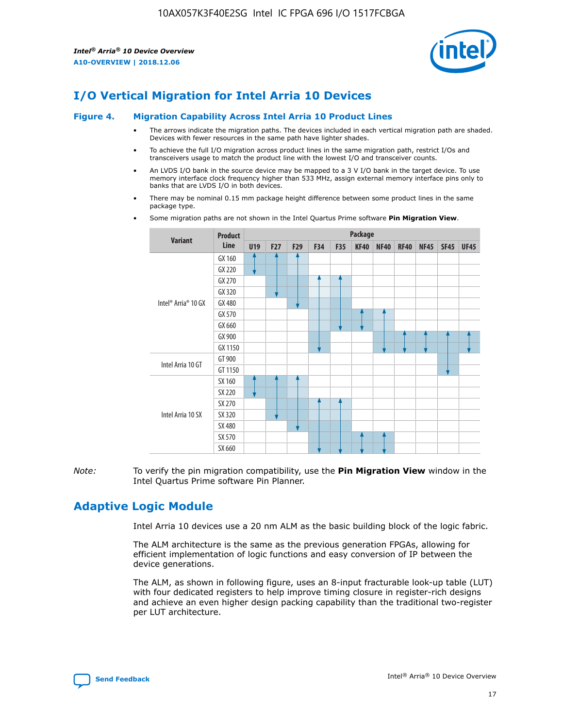

# **I/O Vertical Migration for Intel Arria 10 Devices**

#### **Figure 4. Migration Capability Across Intel Arria 10 Product Lines**

- The arrows indicate the migration paths. The devices included in each vertical migration path are shaded. Devices with fewer resources in the same path have lighter shades.
- To achieve the full I/O migration across product lines in the same migration path, restrict I/Os and transceivers usage to match the product line with the lowest I/O and transceiver counts.
- An LVDS I/O bank in the source device may be mapped to a 3 V I/O bank in the target device. To use memory interface clock frequency higher than 533 MHz, assign external memory interface pins only to banks that are LVDS I/O in both devices.
- There may be nominal 0.15 mm package height difference between some product lines in the same package type.
	- **Variant Product Line Package U19 F27 F29 F34 F35 KF40 NF40 RF40 NF45 SF45 UF45** Intel® Arria® 10 GX GX 160 GX 220 GX 270 GX 320 GX 480 GX 570 GX 660 GX 900 GX 1150 Intel Arria 10 GT GT 900 GT 1150 Intel Arria 10 SX SX 160 SX 220 SX 270 SX 320 SX 480 SX 570 SX 660
- Some migration paths are not shown in the Intel Quartus Prime software **Pin Migration View**.

*Note:* To verify the pin migration compatibility, use the **Pin Migration View** window in the Intel Quartus Prime software Pin Planner.

# **Adaptive Logic Module**

Intel Arria 10 devices use a 20 nm ALM as the basic building block of the logic fabric.

The ALM architecture is the same as the previous generation FPGAs, allowing for efficient implementation of logic functions and easy conversion of IP between the device generations.

The ALM, as shown in following figure, uses an 8-input fracturable look-up table (LUT) with four dedicated registers to help improve timing closure in register-rich designs and achieve an even higher design packing capability than the traditional two-register per LUT architecture.

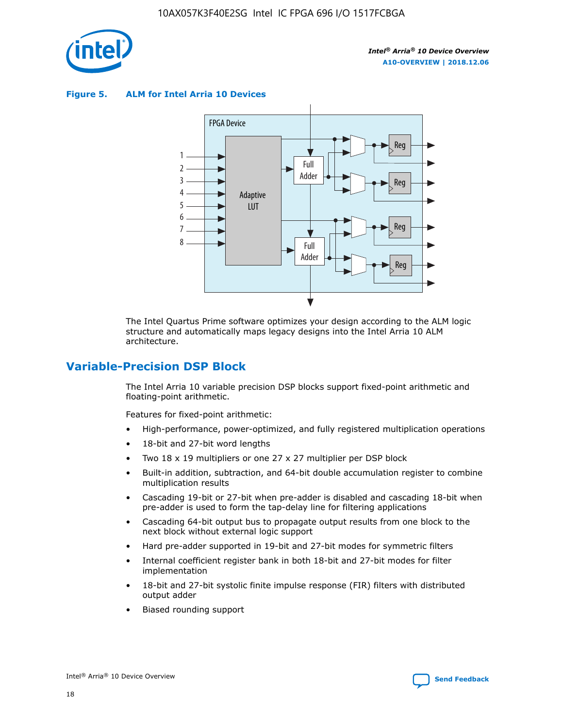

**Figure 5. ALM for Intel Arria 10 Devices**



The Intel Quartus Prime software optimizes your design according to the ALM logic structure and automatically maps legacy designs into the Intel Arria 10 ALM architecture.

# **Variable-Precision DSP Block**

The Intel Arria 10 variable precision DSP blocks support fixed-point arithmetic and floating-point arithmetic.

Features for fixed-point arithmetic:

- High-performance, power-optimized, and fully registered multiplication operations
- 18-bit and 27-bit word lengths
- Two 18 x 19 multipliers or one 27 x 27 multiplier per DSP block
- Built-in addition, subtraction, and 64-bit double accumulation register to combine multiplication results
- Cascading 19-bit or 27-bit when pre-adder is disabled and cascading 18-bit when pre-adder is used to form the tap-delay line for filtering applications
- Cascading 64-bit output bus to propagate output results from one block to the next block without external logic support
- Hard pre-adder supported in 19-bit and 27-bit modes for symmetric filters
- Internal coefficient register bank in both 18-bit and 27-bit modes for filter implementation
- 18-bit and 27-bit systolic finite impulse response (FIR) filters with distributed output adder
- Biased rounding support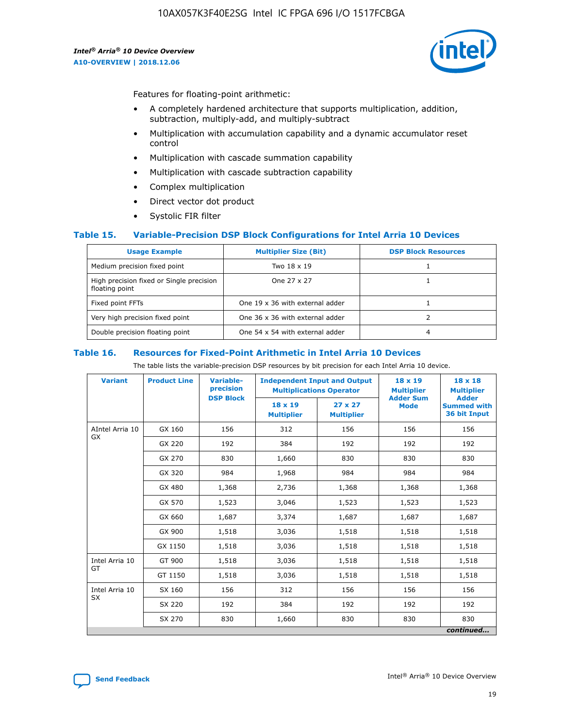

Features for floating-point arithmetic:

- A completely hardened architecture that supports multiplication, addition, subtraction, multiply-add, and multiply-subtract
- Multiplication with accumulation capability and a dynamic accumulator reset control
- Multiplication with cascade summation capability
- Multiplication with cascade subtraction capability
- Complex multiplication
- Direct vector dot product
- Systolic FIR filter

### **Table 15. Variable-Precision DSP Block Configurations for Intel Arria 10 Devices**

| <b>Usage Example</b>                                       | <b>Multiplier Size (Bit)</b>    | <b>DSP Block Resources</b> |
|------------------------------------------------------------|---------------------------------|----------------------------|
| Medium precision fixed point                               | Two 18 x 19                     |                            |
| High precision fixed or Single precision<br>floating point | One 27 x 27                     |                            |
| Fixed point FFTs                                           | One 19 x 36 with external adder |                            |
| Very high precision fixed point                            | One 36 x 36 with external adder |                            |
| Double precision floating point                            | One 54 x 54 with external adder | 4                          |

#### **Table 16. Resources for Fixed-Point Arithmetic in Intel Arria 10 Devices**

The table lists the variable-precision DSP resources by bit precision for each Intel Arria 10 device.

| <b>Variant</b>        | <b>Product Line</b> | <b>Variable-</b><br>precision<br><b>DSP Block</b> | <b>Independent Input and Output</b><br><b>Multiplications Operator</b> |                                     | 18 x 19<br><b>Multiplier</b><br><b>Adder Sum</b> | $18 \times 18$<br><b>Multiplier</b><br><b>Adder</b> |
|-----------------------|---------------------|---------------------------------------------------|------------------------------------------------------------------------|-------------------------------------|--------------------------------------------------|-----------------------------------------------------|
|                       |                     |                                                   | 18 x 19<br><b>Multiplier</b>                                           | $27 \times 27$<br><b>Multiplier</b> | <b>Mode</b>                                      | <b>Summed with</b><br>36 bit Input                  |
| AIntel Arria 10<br>GX | GX 160              | 156                                               | 312                                                                    | 156                                 | 156                                              | 156                                                 |
|                       | GX 220              | 192                                               | 384                                                                    | 192                                 | 192                                              | 192                                                 |
|                       | GX 270              | 830                                               | 1,660                                                                  | 830                                 | 830                                              | 830                                                 |
|                       | GX 320              | 984                                               | 1,968                                                                  | 984                                 | 984                                              | 984                                                 |
|                       | GX 480              | 1,368                                             | 2,736                                                                  | 1,368                               | 1,368                                            | 1,368                                               |
|                       | GX 570              | 1,523                                             | 3,046                                                                  | 1,523                               | 1,523                                            | 1,523                                               |
|                       | GX 660              | 1,687                                             | 3,374                                                                  | 1,687                               | 1,687                                            | 1,687                                               |
|                       | GX 900              | 1,518                                             | 3,036                                                                  | 1,518                               | 1,518                                            | 1,518                                               |
|                       | GX 1150             | 1,518                                             | 3,036                                                                  | 1,518                               | 1,518                                            | 1,518                                               |
| Intel Arria 10        | GT 900              | 1,518                                             | 3,036                                                                  | 1,518                               | 1,518                                            | 1,518                                               |
| GT                    | GT 1150             | 1,518                                             | 3,036                                                                  | 1,518                               | 1,518                                            | 1,518                                               |
| Intel Arria 10        | SX 160              | 156                                               | 312                                                                    | 156                                 | 156                                              | 156                                                 |
| <b>SX</b>             | SX 220              | 192                                               | 384                                                                    | 192                                 | 192                                              | 192                                                 |
|                       | SX 270              | 830                                               | 830<br>1,660                                                           |                                     | 830                                              | 830                                                 |
|                       |                     |                                                   |                                                                        |                                     |                                                  | continued                                           |

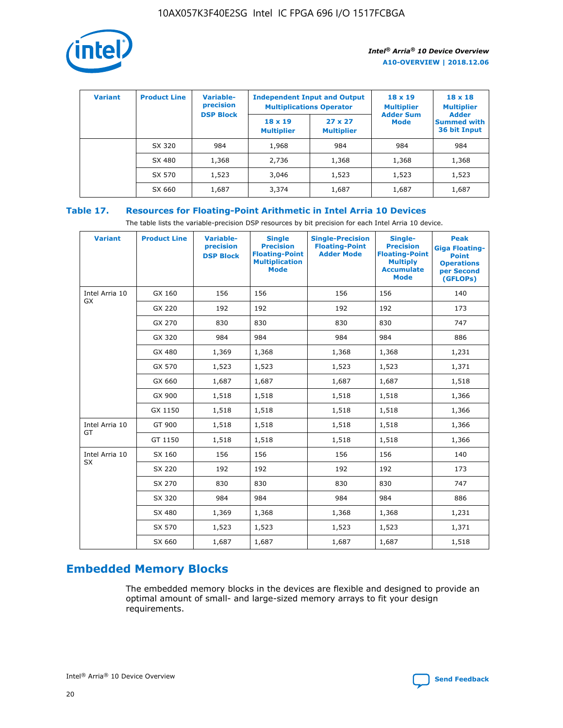

| <b>Variant</b> | <b>Product Line</b> | <b>Variable-</b><br>precision<br><b>DSP Block</b> | <b>Independent Input and Output</b><br><b>Multiplications Operator</b> |                                     | $18 \times 19$<br><b>Multiplier</b><br><b>Adder Sum</b> | $18 \times 18$<br><b>Multiplier</b><br><b>Adder</b> |  |
|----------------|---------------------|---------------------------------------------------|------------------------------------------------------------------------|-------------------------------------|---------------------------------------------------------|-----------------------------------------------------|--|
|                |                     |                                                   | $18 \times 19$<br><b>Multiplier</b>                                    | $27 \times 27$<br><b>Multiplier</b> | <b>Mode</b>                                             | <b>Summed with</b><br>36 bit Input                  |  |
|                | SX 320              | 984                                               | 1,968                                                                  | 984                                 | 984                                                     | 984                                                 |  |
|                | SX 480              | 1,368                                             | 2,736                                                                  | 1,368                               | 1,368                                                   | 1,368                                               |  |
|                | SX 570              | 1,523                                             | 3,046                                                                  | 1,523                               | 1,523                                                   | 1,523                                               |  |
|                | SX 660              | 1,687                                             | 3,374                                                                  | 1,687                               | 1,687                                                   | 1,687                                               |  |

# **Table 17. Resources for Floating-Point Arithmetic in Intel Arria 10 Devices**

The table lists the variable-precision DSP resources by bit precision for each Intel Arria 10 device.

| <b>Variant</b> | <b>Product Line</b> | <b>Variable-</b><br>precision<br><b>DSP Block</b> | <b>Single</b><br><b>Precision</b><br><b>Floating-Point</b><br><b>Multiplication</b><br><b>Mode</b> | <b>Single-Precision</b><br><b>Floating-Point</b><br><b>Adder Mode</b> | Single-<br><b>Precision</b><br><b>Floating-Point</b><br><b>Multiply</b><br><b>Accumulate</b><br><b>Mode</b> | <b>Peak</b><br><b>Giga Floating-</b><br><b>Point</b><br><b>Operations</b><br>per Second<br>(GFLOPs) |
|----------------|---------------------|---------------------------------------------------|----------------------------------------------------------------------------------------------------|-----------------------------------------------------------------------|-------------------------------------------------------------------------------------------------------------|-----------------------------------------------------------------------------------------------------|
| Intel Arria 10 | GX 160              | 156                                               | 156                                                                                                | 156                                                                   | 156                                                                                                         | 140                                                                                                 |
| GX             | GX 220              | 192                                               | 192                                                                                                | 192                                                                   | 192                                                                                                         | 173                                                                                                 |
|                | GX 270              | 830                                               | 830                                                                                                | 830                                                                   | 830                                                                                                         | 747                                                                                                 |
|                | GX 320              | 984                                               | 984                                                                                                | 984                                                                   | 984                                                                                                         | 886                                                                                                 |
|                | GX 480              | 1,369                                             | 1,368                                                                                              | 1,368                                                                 | 1,368                                                                                                       | 1,231                                                                                               |
|                | GX 570              | 1,523                                             | 1,523                                                                                              | 1,523                                                                 | 1,523                                                                                                       | 1,371                                                                                               |
|                | GX 660              | 1,687                                             | 1,687                                                                                              | 1,687                                                                 | 1,687                                                                                                       | 1,518                                                                                               |
|                | GX 900              | 1,518                                             | 1,518                                                                                              | 1,518                                                                 | 1,518                                                                                                       | 1,366                                                                                               |
|                | GX 1150             | 1,518                                             | 1,518                                                                                              | 1,518                                                                 | 1,518                                                                                                       | 1,366                                                                                               |
| Intel Arria 10 | GT 900              | 1,518                                             | 1,518                                                                                              | 1,518                                                                 | 1,518                                                                                                       | 1,366                                                                                               |
| GT             | GT 1150             | 1,518                                             | 1,518                                                                                              | 1,518                                                                 | 1,518                                                                                                       | 1,366                                                                                               |
| Intel Arria 10 | SX 160              | 156                                               | 156                                                                                                | 156                                                                   | 156                                                                                                         | 140                                                                                                 |
| <b>SX</b>      | SX 220              | 192                                               | 192                                                                                                | 192                                                                   | 192                                                                                                         | 173                                                                                                 |
|                | SX 270              | 830                                               | 830                                                                                                | 830                                                                   | 830                                                                                                         | 747                                                                                                 |
|                | SX 320              | 984                                               | 984                                                                                                | 984                                                                   | 984                                                                                                         | 886                                                                                                 |
|                | SX 480              | 1,369                                             | 1,368                                                                                              | 1,368                                                                 | 1,368                                                                                                       | 1,231                                                                                               |
|                | SX 570              | 1,523                                             | 1,523                                                                                              | 1,523                                                                 | 1,523                                                                                                       | 1,371                                                                                               |
|                | SX 660              | 1,687                                             | 1,687                                                                                              | 1,687                                                                 | 1,687                                                                                                       | 1,518                                                                                               |

# **Embedded Memory Blocks**

The embedded memory blocks in the devices are flexible and designed to provide an optimal amount of small- and large-sized memory arrays to fit your design requirements.

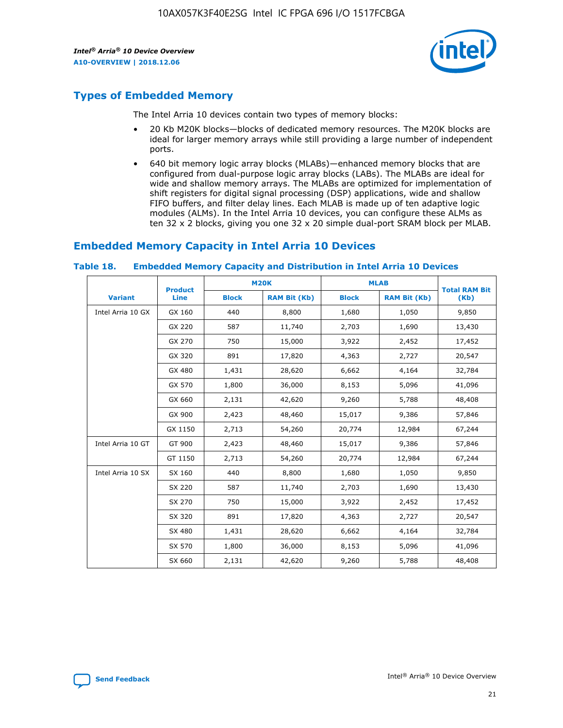

# **Types of Embedded Memory**

The Intel Arria 10 devices contain two types of memory blocks:

- 20 Kb M20K blocks—blocks of dedicated memory resources. The M20K blocks are ideal for larger memory arrays while still providing a large number of independent ports.
- 640 bit memory logic array blocks (MLABs)—enhanced memory blocks that are configured from dual-purpose logic array blocks (LABs). The MLABs are ideal for wide and shallow memory arrays. The MLABs are optimized for implementation of shift registers for digital signal processing (DSP) applications, wide and shallow FIFO buffers, and filter delay lines. Each MLAB is made up of ten adaptive logic modules (ALMs). In the Intel Arria 10 devices, you can configure these ALMs as ten 32 x 2 blocks, giving you one 32 x 20 simple dual-port SRAM block per MLAB.

# **Embedded Memory Capacity in Intel Arria 10 Devices**

|                   | <b>Product</b> |              | <b>M20K</b>         | <b>MLAB</b>  |                     | <b>Total RAM Bit</b> |
|-------------------|----------------|--------------|---------------------|--------------|---------------------|----------------------|
| <b>Variant</b>    | Line           | <b>Block</b> | <b>RAM Bit (Kb)</b> | <b>Block</b> | <b>RAM Bit (Kb)</b> | (Kb)                 |
| Intel Arria 10 GX | GX 160         | 440          | 8,800               | 1,680        | 1,050               | 9,850                |
|                   | GX 220         | 587          | 11,740              | 2,703        | 1,690               | 13,430               |
|                   | GX 270         | 750          | 15,000              | 3,922        | 2,452               | 17,452               |
|                   | GX 320         | 891          | 17,820              | 4,363        | 2,727               | 20,547               |
|                   | GX 480         | 1,431        | 28,620              | 6,662        | 4,164               | 32,784               |
|                   | GX 570         | 1,800        | 36,000              | 8,153        | 5,096               | 41,096               |
|                   | GX 660         | 2,131        | 42,620              | 9,260        | 5,788               | 48,408               |
|                   | GX 900         | 2,423        | 48,460              | 15,017       | 9,386               | 57,846               |
|                   | GX 1150        | 2,713        | 54,260              | 20,774       | 12,984              | 67,244               |
| Intel Arria 10 GT | GT 900         | 2,423        | 48,460              | 15,017       | 9,386               | 57,846               |
|                   | GT 1150        | 2,713        | 54,260              | 20,774       | 12,984              | 67,244               |
| Intel Arria 10 SX | SX 160         | 440          | 8,800               | 1,680        | 1,050               | 9,850                |
|                   | SX 220         | 587          | 11,740              | 2,703        | 1,690               | 13,430               |
|                   | SX 270         | 750          | 15,000              | 3,922        | 2,452               | 17,452               |
|                   | SX 320         | 891          | 17,820              | 4,363        | 2,727               | 20,547               |
|                   | SX 480         | 1,431        | 28,620              | 6,662        | 4,164               | 32,784               |
|                   | SX 570         | 1,800        | 36,000              | 8,153        | 5,096               | 41,096               |
|                   | SX 660         | 2,131        | 42,620              | 9,260        | 5,788               | 48,408               |

#### **Table 18. Embedded Memory Capacity and Distribution in Intel Arria 10 Devices**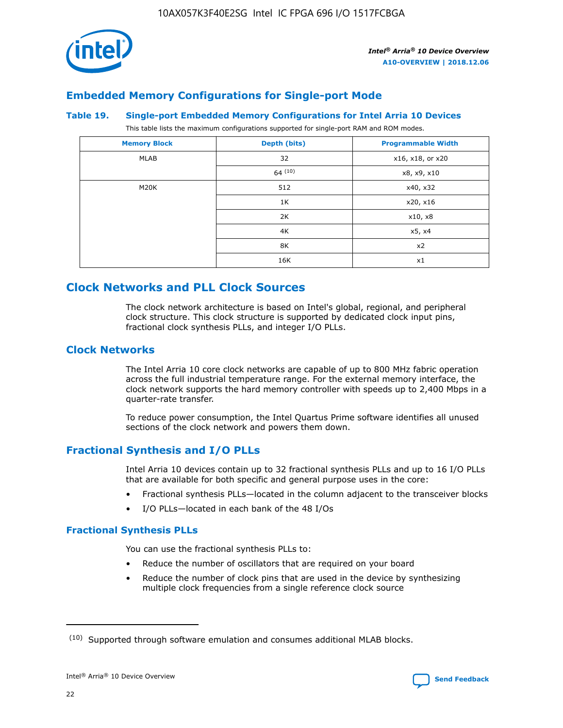

# **Embedded Memory Configurations for Single-port Mode**

#### **Table 19. Single-port Embedded Memory Configurations for Intel Arria 10 Devices**

This table lists the maximum configurations supported for single-port RAM and ROM modes.

| <b>Memory Block</b> | Depth (bits) | <b>Programmable Width</b> |
|---------------------|--------------|---------------------------|
| MLAB                | 32           | x16, x18, or x20          |
|                     | 64(10)       | x8, x9, x10               |
| M20K                | 512          | x40, x32                  |
|                     | 1K           | x20, x16                  |
|                     | 2K           | x10, x8                   |
|                     | 4K           | x5, x4                    |
|                     | 8K           | x2                        |
|                     | 16K          | x1                        |

# **Clock Networks and PLL Clock Sources**

The clock network architecture is based on Intel's global, regional, and peripheral clock structure. This clock structure is supported by dedicated clock input pins, fractional clock synthesis PLLs, and integer I/O PLLs.

# **Clock Networks**

The Intel Arria 10 core clock networks are capable of up to 800 MHz fabric operation across the full industrial temperature range. For the external memory interface, the clock network supports the hard memory controller with speeds up to 2,400 Mbps in a quarter-rate transfer.

To reduce power consumption, the Intel Quartus Prime software identifies all unused sections of the clock network and powers them down.

# **Fractional Synthesis and I/O PLLs**

Intel Arria 10 devices contain up to 32 fractional synthesis PLLs and up to 16 I/O PLLs that are available for both specific and general purpose uses in the core:

- Fractional synthesis PLLs—located in the column adjacent to the transceiver blocks
- I/O PLLs—located in each bank of the 48 I/Os

# **Fractional Synthesis PLLs**

You can use the fractional synthesis PLLs to:

- Reduce the number of oscillators that are required on your board
- Reduce the number of clock pins that are used in the device by synthesizing multiple clock frequencies from a single reference clock source

<sup>(10)</sup> Supported through software emulation and consumes additional MLAB blocks.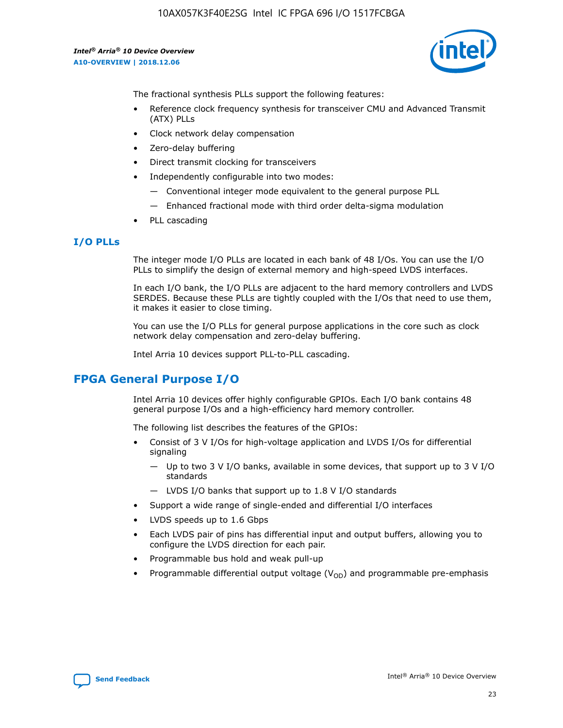10AX057K3F40E2SG Intel IC FPGA 696 I/O 1517FCBGA

*Intel® Arria® 10 Device Overview* **A10-OVERVIEW | 2018.12.06**



The fractional synthesis PLLs support the following features:

- Reference clock frequency synthesis for transceiver CMU and Advanced Transmit (ATX) PLLs
- Clock network delay compensation
- Zero-delay buffering
- Direct transmit clocking for transceivers
- Independently configurable into two modes:
	- Conventional integer mode equivalent to the general purpose PLL
	- Enhanced fractional mode with third order delta-sigma modulation
- PLL cascading

### **I/O PLLs**

The integer mode I/O PLLs are located in each bank of 48 I/Os. You can use the I/O PLLs to simplify the design of external memory and high-speed LVDS interfaces.

In each I/O bank, the I/O PLLs are adjacent to the hard memory controllers and LVDS SERDES. Because these PLLs are tightly coupled with the I/Os that need to use them, it makes it easier to close timing.

You can use the I/O PLLs for general purpose applications in the core such as clock network delay compensation and zero-delay buffering.

Intel Arria 10 devices support PLL-to-PLL cascading.

# **FPGA General Purpose I/O**

Intel Arria 10 devices offer highly configurable GPIOs. Each I/O bank contains 48 general purpose I/Os and a high-efficiency hard memory controller.

The following list describes the features of the GPIOs:

- Consist of 3 V I/Os for high-voltage application and LVDS I/Os for differential signaling
	- Up to two 3 V I/O banks, available in some devices, that support up to 3 V I/O standards
	- LVDS I/O banks that support up to 1.8 V I/O standards
- Support a wide range of single-ended and differential I/O interfaces
- LVDS speeds up to 1.6 Gbps
- Each LVDS pair of pins has differential input and output buffers, allowing you to configure the LVDS direction for each pair.
- Programmable bus hold and weak pull-up
- Programmable differential output voltage  $(V_{OD})$  and programmable pre-emphasis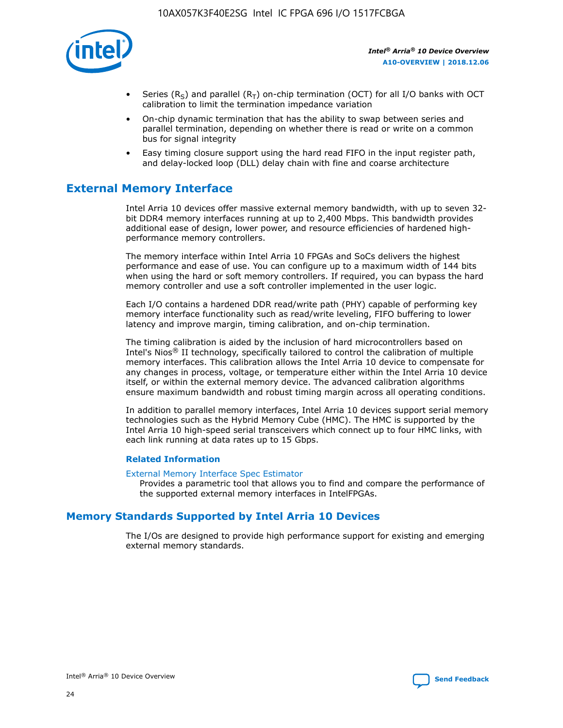

- Series (R<sub>S</sub>) and parallel (R<sub>T</sub>) on-chip termination (OCT) for all I/O banks with OCT calibration to limit the termination impedance variation
- On-chip dynamic termination that has the ability to swap between series and parallel termination, depending on whether there is read or write on a common bus for signal integrity
- Easy timing closure support using the hard read FIFO in the input register path, and delay-locked loop (DLL) delay chain with fine and coarse architecture

# **External Memory Interface**

Intel Arria 10 devices offer massive external memory bandwidth, with up to seven 32 bit DDR4 memory interfaces running at up to 2,400 Mbps. This bandwidth provides additional ease of design, lower power, and resource efficiencies of hardened highperformance memory controllers.

The memory interface within Intel Arria 10 FPGAs and SoCs delivers the highest performance and ease of use. You can configure up to a maximum width of 144 bits when using the hard or soft memory controllers. If required, you can bypass the hard memory controller and use a soft controller implemented in the user logic.

Each I/O contains a hardened DDR read/write path (PHY) capable of performing key memory interface functionality such as read/write leveling, FIFO buffering to lower latency and improve margin, timing calibration, and on-chip termination.

The timing calibration is aided by the inclusion of hard microcontrollers based on Intel's Nios® II technology, specifically tailored to control the calibration of multiple memory interfaces. This calibration allows the Intel Arria 10 device to compensate for any changes in process, voltage, or temperature either within the Intel Arria 10 device itself, or within the external memory device. The advanced calibration algorithms ensure maximum bandwidth and robust timing margin across all operating conditions.

In addition to parallel memory interfaces, Intel Arria 10 devices support serial memory technologies such as the Hybrid Memory Cube (HMC). The HMC is supported by the Intel Arria 10 high-speed serial transceivers which connect up to four HMC links, with each link running at data rates up to 15 Gbps.

### **Related Information**

#### [External Memory Interface Spec Estimator](http://www.altera.com/technology/memory/estimator/mem-emif-index.html)

Provides a parametric tool that allows you to find and compare the performance of the supported external memory interfaces in IntelFPGAs.

# **Memory Standards Supported by Intel Arria 10 Devices**

The I/Os are designed to provide high performance support for existing and emerging external memory standards.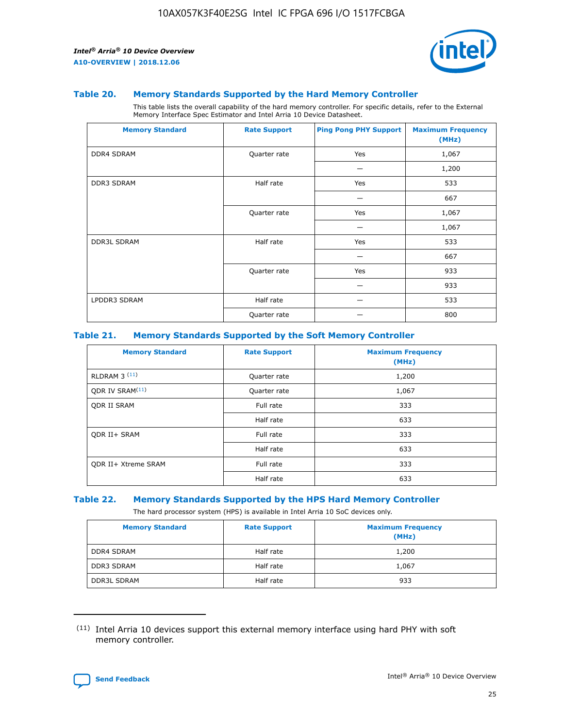

#### **Table 20. Memory Standards Supported by the Hard Memory Controller**

This table lists the overall capability of the hard memory controller. For specific details, refer to the External Memory Interface Spec Estimator and Intel Arria 10 Device Datasheet.

| <b>Memory Standard</b> | <b>Rate Support</b> | <b>Ping Pong PHY Support</b> | <b>Maximum Frequency</b><br>(MHz) |
|------------------------|---------------------|------------------------------|-----------------------------------|
| <b>DDR4 SDRAM</b>      | Quarter rate        | Yes                          | 1,067                             |
|                        |                     |                              | 1,200                             |
| <b>DDR3 SDRAM</b>      | Half rate           | Yes                          | 533                               |
|                        |                     |                              | 667                               |
|                        | Quarter rate        | Yes                          | 1,067                             |
|                        |                     |                              | 1,067                             |
| <b>DDR3L SDRAM</b>     | Half rate           | Yes                          | 533                               |
|                        |                     |                              | 667                               |
|                        | Quarter rate        | Yes                          | 933                               |
|                        |                     |                              | 933                               |
| LPDDR3 SDRAM           | Half rate           |                              | 533                               |
|                        | Quarter rate        |                              | 800                               |

### **Table 21. Memory Standards Supported by the Soft Memory Controller**

| <b>Memory Standard</b>      | <b>Rate Support</b> | <b>Maximum Frequency</b><br>(MHz) |
|-----------------------------|---------------------|-----------------------------------|
| <b>RLDRAM 3 (11)</b>        | Quarter rate        | 1,200                             |
| ODR IV SRAM <sup>(11)</sup> | Quarter rate        | 1,067                             |
| <b>ODR II SRAM</b>          | Full rate           | 333                               |
|                             | Half rate           | 633                               |
| <b>ODR II+ SRAM</b>         | Full rate           | 333                               |
|                             | Half rate           | 633                               |
| <b>ODR II+ Xtreme SRAM</b>  | Full rate           | 333                               |
|                             | Half rate           | 633                               |

### **Table 22. Memory Standards Supported by the HPS Hard Memory Controller**

The hard processor system (HPS) is available in Intel Arria 10 SoC devices only.

| <b>Memory Standard</b> | <b>Rate Support</b> | <b>Maximum Frequency</b><br>(MHz) |
|------------------------|---------------------|-----------------------------------|
| <b>DDR4 SDRAM</b>      | Half rate           | 1,200                             |
| <b>DDR3 SDRAM</b>      | Half rate           | 1,067                             |
| <b>DDR3L SDRAM</b>     | Half rate           | 933                               |

<sup>(11)</sup> Intel Arria 10 devices support this external memory interface using hard PHY with soft memory controller.

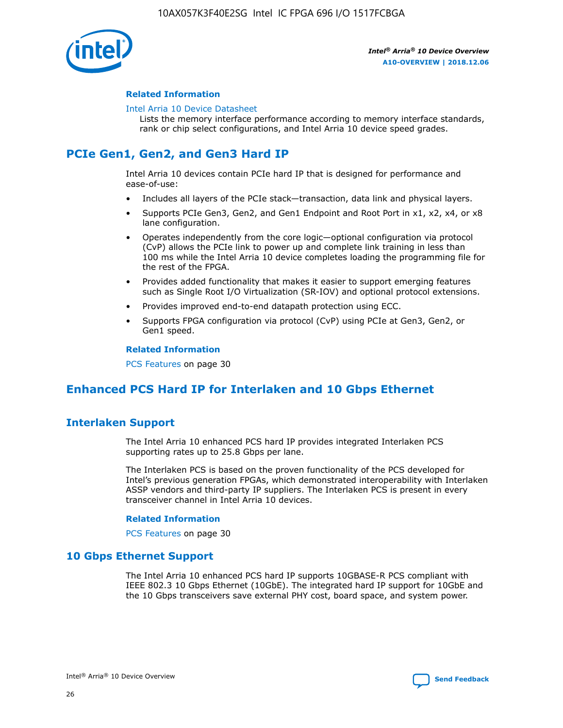

### **Related Information**

#### [Intel Arria 10 Device Datasheet](https://www.intel.com/content/www/us/en/programmable/documentation/mcn1413182292568.html#mcn1413182153340)

Lists the memory interface performance according to memory interface standards, rank or chip select configurations, and Intel Arria 10 device speed grades.

# **PCIe Gen1, Gen2, and Gen3 Hard IP**

Intel Arria 10 devices contain PCIe hard IP that is designed for performance and ease-of-use:

- Includes all layers of the PCIe stack—transaction, data link and physical layers.
- Supports PCIe Gen3, Gen2, and Gen1 Endpoint and Root Port in x1, x2, x4, or x8 lane configuration.
- Operates independently from the core logic—optional configuration via protocol (CvP) allows the PCIe link to power up and complete link training in less than 100 ms while the Intel Arria 10 device completes loading the programming file for the rest of the FPGA.
- Provides added functionality that makes it easier to support emerging features such as Single Root I/O Virtualization (SR-IOV) and optional protocol extensions.
- Provides improved end-to-end datapath protection using ECC.
- Supports FPGA configuration via protocol (CvP) using PCIe at Gen3, Gen2, or Gen1 speed.

#### **Related Information**

PCS Features on page 30

# **Enhanced PCS Hard IP for Interlaken and 10 Gbps Ethernet**

# **Interlaken Support**

The Intel Arria 10 enhanced PCS hard IP provides integrated Interlaken PCS supporting rates up to 25.8 Gbps per lane.

The Interlaken PCS is based on the proven functionality of the PCS developed for Intel's previous generation FPGAs, which demonstrated interoperability with Interlaken ASSP vendors and third-party IP suppliers. The Interlaken PCS is present in every transceiver channel in Intel Arria 10 devices.

### **Related Information**

PCS Features on page 30

# **10 Gbps Ethernet Support**

The Intel Arria 10 enhanced PCS hard IP supports 10GBASE-R PCS compliant with IEEE 802.3 10 Gbps Ethernet (10GbE). The integrated hard IP support for 10GbE and the 10 Gbps transceivers save external PHY cost, board space, and system power.

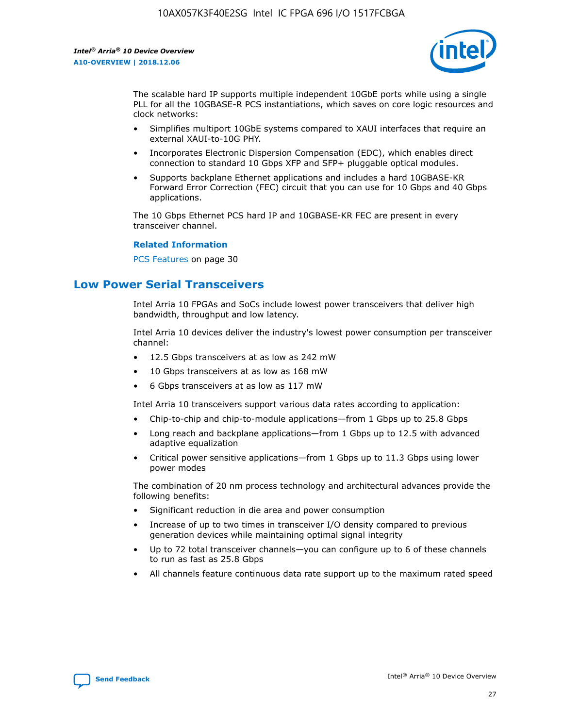

The scalable hard IP supports multiple independent 10GbE ports while using a single PLL for all the 10GBASE-R PCS instantiations, which saves on core logic resources and clock networks:

- Simplifies multiport 10GbE systems compared to XAUI interfaces that require an external XAUI-to-10G PHY.
- Incorporates Electronic Dispersion Compensation (EDC), which enables direct connection to standard 10 Gbps XFP and SFP+ pluggable optical modules.
- Supports backplane Ethernet applications and includes a hard 10GBASE-KR Forward Error Correction (FEC) circuit that you can use for 10 Gbps and 40 Gbps applications.

The 10 Gbps Ethernet PCS hard IP and 10GBASE-KR FEC are present in every transceiver channel.

#### **Related Information**

PCS Features on page 30

# **Low Power Serial Transceivers**

Intel Arria 10 FPGAs and SoCs include lowest power transceivers that deliver high bandwidth, throughput and low latency.

Intel Arria 10 devices deliver the industry's lowest power consumption per transceiver channel:

- 12.5 Gbps transceivers at as low as 242 mW
- 10 Gbps transceivers at as low as 168 mW
- 6 Gbps transceivers at as low as 117 mW

Intel Arria 10 transceivers support various data rates according to application:

- Chip-to-chip and chip-to-module applications—from 1 Gbps up to 25.8 Gbps
- Long reach and backplane applications—from 1 Gbps up to 12.5 with advanced adaptive equalization
- Critical power sensitive applications—from 1 Gbps up to 11.3 Gbps using lower power modes

The combination of 20 nm process technology and architectural advances provide the following benefits:

- Significant reduction in die area and power consumption
- Increase of up to two times in transceiver I/O density compared to previous generation devices while maintaining optimal signal integrity
- Up to 72 total transceiver channels—you can configure up to 6 of these channels to run as fast as 25.8 Gbps
- All channels feature continuous data rate support up to the maximum rated speed

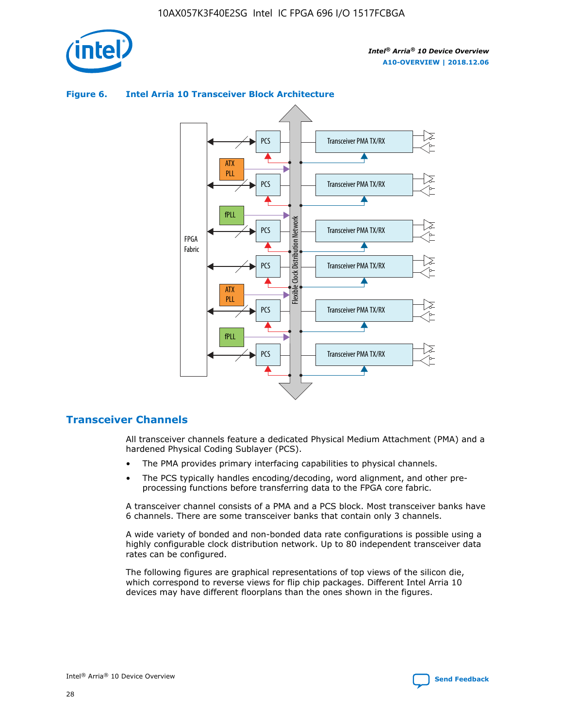



## **Figure 6. Intel Arria 10 Transceiver Block Architecture**

# **Transceiver Channels**

All transceiver channels feature a dedicated Physical Medium Attachment (PMA) and a hardened Physical Coding Sublayer (PCS).

- The PMA provides primary interfacing capabilities to physical channels.
- The PCS typically handles encoding/decoding, word alignment, and other preprocessing functions before transferring data to the FPGA core fabric.

A transceiver channel consists of a PMA and a PCS block. Most transceiver banks have 6 channels. There are some transceiver banks that contain only 3 channels.

A wide variety of bonded and non-bonded data rate configurations is possible using a highly configurable clock distribution network. Up to 80 independent transceiver data rates can be configured.

The following figures are graphical representations of top views of the silicon die, which correspond to reverse views for flip chip packages. Different Intel Arria 10 devices may have different floorplans than the ones shown in the figures.

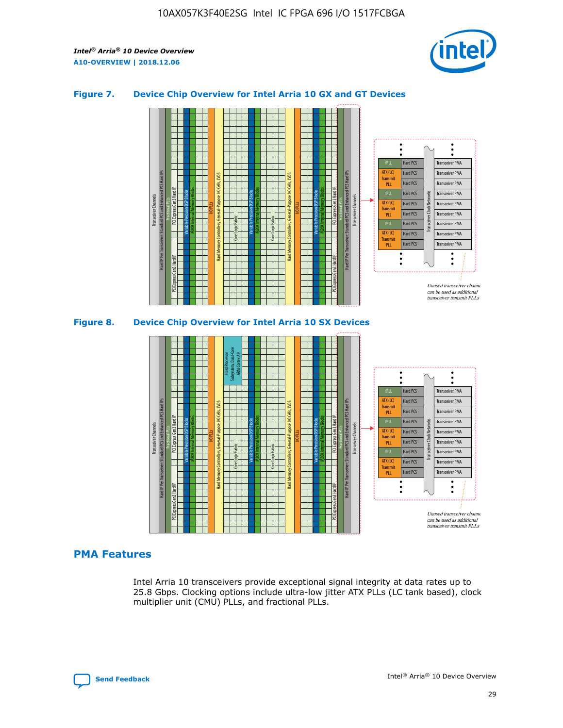

## **Figure 7. Device Chip Overview for Intel Arria 10 GX and GT Devices**





# **PMA Features**

Intel Arria 10 transceivers provide exceptional signal integrity at data rates up to 25.8 Gbps. Clocking options include ultra-low jitter ATX PLLs (LC tank based), clock multiplier unit (CMU) PLLs, and fractional PLLs.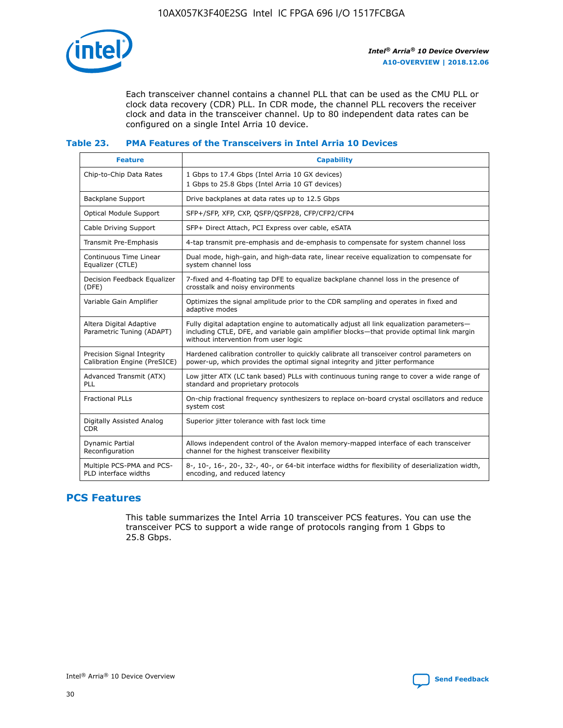

Each transceiver channel contains a channel PLL that can be used as the CMU PLL or clock data recovery (CDR) PLL. In CDR mode, the channel PLL recovers the receiver clock and data in the transceiver channel. Up to 80 independent data rates can be configured on a single Intel Arria 10 device.

## **Table 23. PMA Features of the Transceivers in Intel Arria 10 Devices**

| <b>Feature</b>                                             | <b>Capability</b>                                                                                                                                                                                                             |
|------------------------------------------------------------|-------------------------------------------------------------------------------------------------------------------------------------------------------------------------------------------------------------------------------|
| Chip-to-Chip Data Rates                                    | 1 Gbps to 17.4 Gbps (Intel Arria 10 GX devices)<br>1 Gbps to 25.8 Gbps (Intel Arria 10 GT devices)                                                                                                                            |
| <b>Backplane Support</b>                                   | Drive backplanes at data rates up to 12.5 Gbps                                                                                                                                                                                |
| Optical Module Support                                     | SFP+/SFP, XFP, CXP, QSFP/QSFP28, CFP/CFP2/CFP4                                                                                                                                                                                |
| Cable Driving Support                                      | SFP+ Direct Attach, PCI Express over cable, eSATA                                                                                                                                                                             |
| Transmit Pre-Emphasis                                      | 4-tap transmit pre-emphasis and de-emphasis to compensate for system channel loss                                                                                                                                             |
| Continuous Time Linear<br>Equalizer (CTLE)                 | Dual mode, high-gain, and high-data rate, linear receive equalization to compensate for<br>system channel loss                                                                                                                |
| Decision Feedback Equalizer<br>(DFE)                       | 7-fixed and 4-floating tap DFE to equalize backplane channel loss in the presence of<br>crosstalk and noisy environments                                                                                                      |
| Variable Gain Amplifier                                    | Optimizes the signal amplitude prior to the CDR sampling and operates in fixed and<br>adaptive modes                                                                                                                          |
| Altera Digital Adaptive<br>Parametric Tuning (ADAPT)       | Fully digital adaptation engine to automatically adjust all link equalization parameters-<br>including CTLE, DFE, and variable gain amplifier blocks—that provide optimal link margin<br>without intervention from user logic |
| Precision Signal Integrity<br>Calibration Engine (PreSICE) | Hardened calibration controller to quickly calibrate all transceiver control parameters on<br>power-up, which provides the optimal signal integrity and jitter performance                                                    |
| Advanced Transmit (ATX)<br><b>PLL</b>                      | Low jitter ATX (LC tank based) PLLs with continuous tuning range to cover a wide range of<br>standard and proprietary protocols                                                                                               |
| <b>Fractional PLLs</b>                                     | On-chip fractional frequency synthesizers to replace on-board crystal oscillators and reduce<br>system cost                                                                                                                   |
| Digitally Assisted Analog<br><b>CDR</b>                    | Superior jitter tolerance with fast lock time                                                                                                                                                                                 |
| Dynamic Partial<br>Reconfiguration                         | Allows independent control of the Avalon memory-mapped interface of each transceiver<br>channel for the highest transceiver flexibility                                                                                       |
| Multiple PCS-PMA and PCS-<br>PLD interface widths          | 8-, 10-, 16-, 20-, 32-, 40-, or 64-bit interface widths for flexibility of deserialization width,<br>encoding, and reduced latency                                                                                            |

# **PCS Features**

This table summarizes the Intel Arria 10 transceiver PCS features. You can use the transceiver PCS to support a wide range of protocols ranging from 1 Gbps to 25.8 Gbps.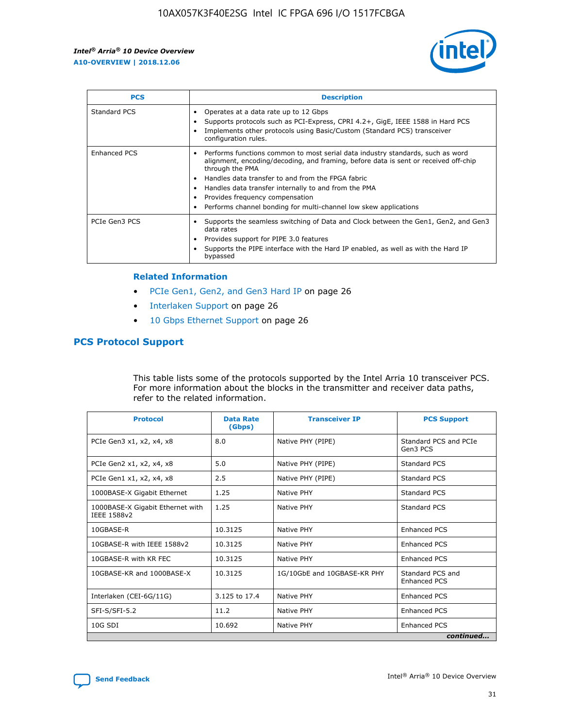

| <b>PCS</b>    | <b>Description</b>                                                                                                                                                                                                                                                                                                                                                                                             |
|---------------|----------------------------------------------------------------------------------------------------------------------------------------------------------------------------------------------------------------------------------------------------------------------------------------------------------------------------------------------------------------------------------------------------------------|
| Standard PCS  | Operates at a data rate up to 12 Gbps<br>Supports protocols such as PCI-Express, CPRI 4.2+, GigE, IEEE 1588 in Hard PCS<br>Implements other protocols using Basic/Custom (Standard PCS) transceiver<br>configuration rules.                                                                                                                                                                                    |
| Enhanced PCS  | Performs functions common to most serial data industry standards, such as word<br>alignment, encoding/decoding, and framing, before data is sent or received off-chip<br>through the PMA<br>• Handles data transfer to and from the FPGA fabric<br>Handles data transfer internally to and from the PMA<br>Provides frequency compensation<br>Performs channel bonding for multi-channel low skew applications |
| PCIe Gen3 PCS | Supports the seamless switching of Data and Clock between the Gen1, Gen2, and Gen3<br>data rates<br>Provides support for PIPE 3.0 features<br>Supports the PIPE interface with the Hard IP enabled, as well as with the Hard IP<br>bypassed                                                                                                                                                                    |

#### **Related Information**

- PCIe Gen1, Gen2, and Gen3 Hard IP on page 26
- Interlaken Support on page 26
- 10 Gbps Ethernet Support on page 26

# **PCS Protocol Support**

This table lists some of the protocols supported by the Intel Arria 10 transceiver PCS. For more information about the blocks in the transmitter and receiver data paths, refer to the related information.

| <b>Protocol</b>                                 | <b>Data Rate</b><br>(Gbps) | <b>Transceiver IP</b>       | <b>PCS Support</b>                      |
|-------------------------------------------------|----------------------------|-----------------------------|-----------------------------------------|
| PCIe Gen3 x1, x2, x4, x8                        | 8.0                        | Native PHY (PIPE)           | Standard PCS and PCIe<br>Gen3 PCS       |
| PCIe Gen2 x1, x2, x4, x8                        | 5.0                        | Native PHY (PIPE)           | <b>Standard PCS</b>                     |
| PCIe Gen1 x1, x2, x4, x8                        | 2.5                        | Native PHY (PIPE)           | Standard PCS                            |
| 1000BASE-X Gigabit Ethernet                     | 1.25                       | Native PHY                  | <b>Standard PCS</b>                     |
| 1000BASE-X Gigabit Ethernet with<br>IEEE 1588v2 | 1.25                       | Native PHY                  | Standard PCS                            |
| 10GBASE-R                                       | 10.3125                    | Native PHY                  | <b>Enhanced PCS</b>                     |
| 10GBASE-R with IEEE 1588v2                      | 10.3125                    | Native PHY                  | <b>Enhanced PCS</b>                     |
| 10GBASE-R with KR FEC                           | 10.3125                    | Native PHY                  | <b>Enhanced PCS</b>                     |
| 10GBASE-KR and 1000BASE-X                       | 10.3125                    | 1G/10GbE and 10GBASE-KR PHY | Standard PCS and<br><b>Enhanced PCS</b> |
| Interlaken (CEI-6G/11G)                         | 3.125 to 17.4              | Native PHY                  | <b>Enhanced PCS</b>                     |
| SFI-S/SFI-5.2                                   | 11.2                       | Native PHY                  | <b>Enhanced PCS</b>                     |
| $10G$ SDI                                       | 10.692                     | Native PHY                  | <b>Enhanced PCS</b>                     |
|                                                 |                            |                             | continued                               |

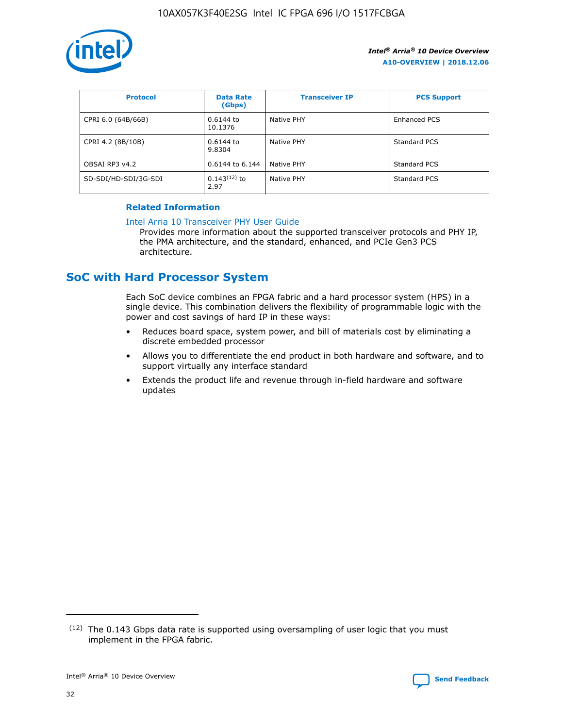

| <b>Protocol</b>      | <b>Data Rate</b><br>(Gbps) | <b>Transceiver IP</b> | <b>PCS Support</b> |
|----------------------|----------------------------|-----------------------|--------------------|
| CPRI 6.0 (64B/66B)   | 0.6144 to<br>10.1376       | Native PHY            | Enhanced PCS       |
| CPRI 4.2 (8B/10B)    | 0.6144 to<br>9.8304        | Native PHY            | Standard PCS       |
| OBSAI RP3 v4.2       | 0.6144 to 6.144            | Native PHY            | Standard PCS       |
| SD-SDI/HD-SDI/3G-SDI | $0.143(12)$ to<br>2.97     | Native PHY            | Standard PCS       |

# **Related Information**

#### [Intel Arria 10 Transceiver PHY User Guide](https://www.intel.com/content/www/us/en/programmable/documentation/nik1398707230472.html#nik1398707091164)

Provides more information about the supported transceiver protocols and PHY IP, the PMA architecture, and the standard, enhanced, and PCIe Gen3 PCS architecture.

# **SoC with Hard Processor System**

Each SoC device combines an FPGA fabric and a hard processor system (HPS) in a single device. This combination delivers the flexibility of programmable logic with the power and cost savings of hard IP in these ways:

- Reduces board space, system power, and bill of materials cost by eliminating a discrete embedded processor
- Allows you to differentiate the end product in both hardware and software, and to support virtually any interface standard
- Extends the product life and revenue through in-field hardware and software updates

<sup>(12)</sup> The 0.143 Gbps data rate is supported using oversampling of user logic that you must implement in the FPGA fabric.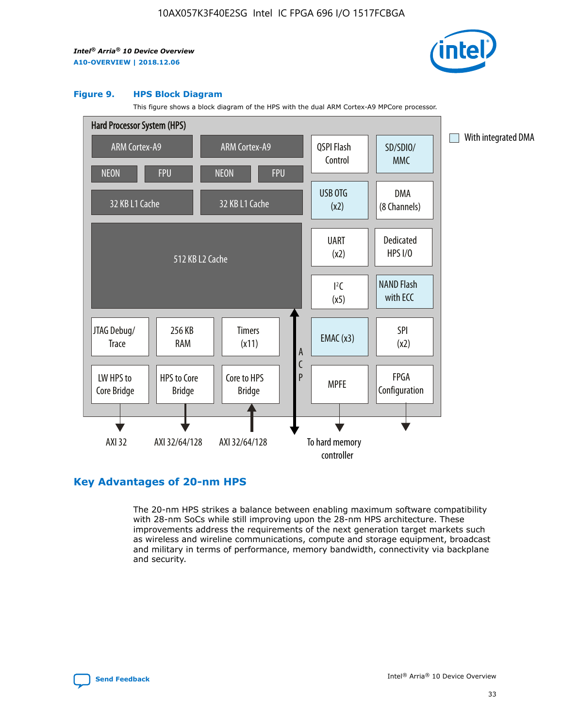

#### **Figure 9. HPS Block Diagram**

This figure shows a block diagram of the HPS with the dual ARM Cortex-A9 MPCore processor.



# **Key Advantages of 20-nm HPS**

The 20-nm HPS strikes a balance between enabling maximum software compatibility with 28-nm SoCs while still improving upon the 28-nm HPS architecture. These improvements address the requirements of the next generation target markets such as wireless and wireline communications, compute and storage equipment, broadcast and military in terms of performance, memory bandwidth, connectivity via backplane and security.

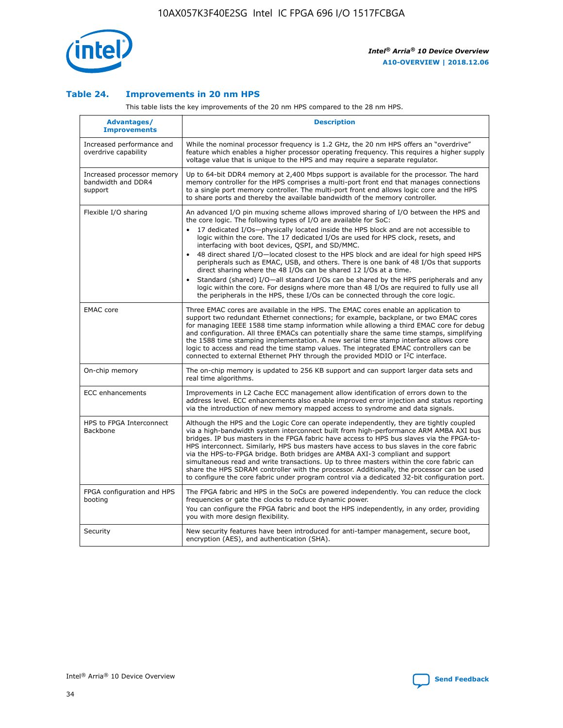

## **Table 24. Improvements in 20 nm HPS**

This table lists the key improvements of the 20 nm HPS compared to the 28 nm HPS.

| Advantages/<br><b>Improvements</b>                          | <b>Description</b>                                                                                                                                                                                                                                                                                                                                                                                                                                                                                                                                                                                                                                                                                                                                                                                                                                                                                                                   |
|-------------------------------------------------------------|--------------------------------------------------------------------------------------------------------------------------------------------------------------------------------------------------------------------------------------------------------------------------------------------------------------------------------------------------------------------------------------------------------------------------------------------------------------------------------------------------------------------------------------------------------------------------------------------------------------------------------------------------------------------------------------------------------------------------------------------------------------------------------------------------------------------------------------------------------------------------------------------------------------------------------------|
| Increased performance and<br>overdrive capability           | While the nominal processor frequency is 1.2 GHz, the 20 nm HPS offers an "overdrive"<br>feature which enables a higher processor operating frequency. This requires a higher supply<br>voltage value that is unique to the HPS and may require a separate regulator.                                                                                                                                                                                                                                                                                                                                                                                                                                                                                                                                                                                                                                                                |
| Increased processor memory<br>bandwidth and DDR4<br>support | Up to 64-bit DDR4 memory at 2,400 Mbps support is available for the processor. The hard<br>memory controller for the HPS comprises a multi-port front end that manages connections<br>to a single port memory controller. The multi-port front end allows logic core and the HPS<br>to share ports and thereby the available bandwidth of the memory controller.                                                                                                                                                                                                                                                                                                                                                                                                                                                                                                                                                                     |
| Flexible I/O sharing                                        | An advanced I/O pin muxing scheme allows improved sharing of I/O between the HPS and<br>the core logic. The following types of I/O are available for SoC:<br>17 dedicated I/Os-physically located inside the HPS block and are not accessible to<br>logic within the core. The 17 dedicated I/Os are used for HPS clock, resets, and<br>interfacing with boot devices, QSPI, and SD/MMC.<br>48 direct shared I/O-located closest to the HPS block and are ideal for high speed HPS<br>$\bullet$<br>peripherals such as EMAC, USB, and others. There is one bank of 48 I/Os that supports<br>direct sharing where the 48 I/Os can be shared 12 I/Os at a time.<br>Standard (shared) I/O-all standard I/Os can be shared by the HPS peripherals and any<br>logic within the core. For designs where more than 48 I/Os are reguired to fully use all<br>the peripherals in the HPS, these I/Os can be connected through the core logic. |
| <b>EMAC</b> core                                            | Three EMAC cores are available in the HPS. The EMAC cores enable an application to<br>support two redundant Ethernet connections; for example, backplane, or two EMAC cores<br>for managing IEEE 1588 time stamp information while allowing a third EMAC core for debug<br>and configuration. All three EMACs can potentially share the same time stamps, simplifying<br>the 1588 time stamping implementation. A new serial time stamp interface allows core<br>logic to access and read the time stamp values. The integrated EMAC controllers can be<br>connected to external Ethernet PHY through the provided MDIO or I <sup>2</sup> C interface.                                                                                                                                                                                                                                                                               |
| On-chip memory                                              | The on-chip memory is updated to 256 KB support and can support larger data sets and<br>real time algorithms.                                                                                                                                                                                                                                                                                                                                                                                                                                                                                                                                                                                                                                                                                                                                                                                                                        |
| <b>ECC</b> enhancements                                     | Improvements in L2 Cache ECC management allow identification of errors down to the<br>address level. ECC enhancements also enable improved error injection and status reporting<br>via the introduction of new memory mapped access to syndrome and data signals.                                                                                                                                                                                                                                                                                                                                                                                                                                                                                                                                                                                                                                                                    |
| HPS to FPGA Interconnect<br>Backbone                        | Although the HPS and the Logic Core can operate independently, they are tightly coupled<br>via a high-bandwidth system interconnect built from high-performance ARM AMBA AXI bus<br>bridges. IP bus masters in the FPGA fabric have access to HPS bus slaves via the FPGA-to-<br>HPS interconnect. Similarly, HPS bus masters have access to bus slaves in the core fabric<br>via the HPS-to-FPGA bridge. Both bridges are AMBA AXI-3 compliant and support<br>simultaneous read and write transactions. Up to three masters within the core fabric can<br>share the HPS SDRAM controller with the processor. Additionally, the processor can be used<br>to configure the core fabric under program control via a dedicated 32-bit configuration port.                                                                                                                                                                               |
| FPGA configuration and HPS<br>booting                       | The FPGA fabric and HPS in the SoCs are powered independently. You can reduce the clock<br>frequencies or gate the clocks to reduce dynamic power.<br>You can configure the FPGA fabric and boot the HPS independently, in any order, providing<br>you with more design flexibility.                                                                                                                                                                                                                                                                                                                                                                                                                                                                                                                                                                                                                                                 |
| Security                                                    | New security features have been introduced for anti-tamper management, secure boot,<br>encryption (AES), and authentication (SHA).                                                                                                                                                                                                                                                                                                                                                                                                                                                                                                                                                                                                                                                                                                                                                                                                   |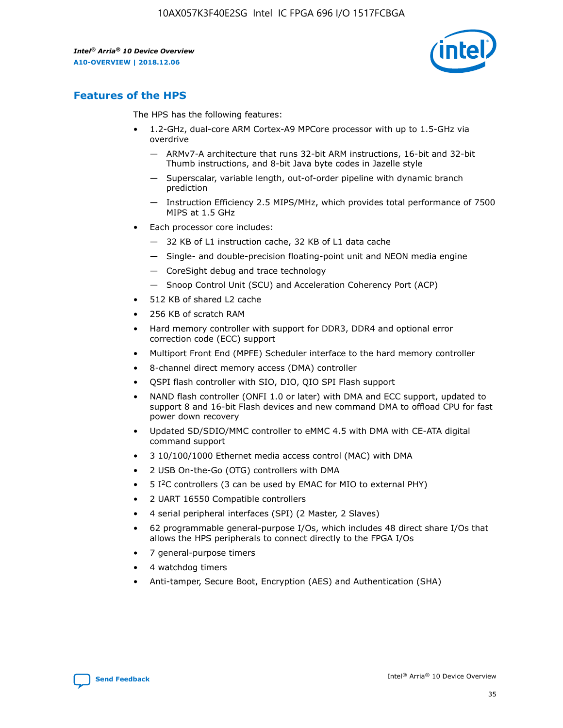

# **Features of the HPS**

The HPS has the following features:

- 1.2-GHz, dual-core ARM Cortex-A9 MPCore processor with up to 1.5-GHz via overdrive
	- ARMv7-A architecture that runs 32-bit ARM instructions, 16-bit and 32-bit Thumb instructions, and 8-bit Java byte codes in Jazelle style
	- Superscalar, variable length, out-of-order pipeline with dynamic branch prediction
	- Instruction Efficiency 2.5 MIPS/MHz, which provides total performance of 7500 MIPS at 1.5 GHz
- Each processor core includes:
	- 32 KB of L1 instruction cache, 32 KB of L1 data cache
	- Single- and double-precision floating-point unit and NEON media engine
	- CoreSight debug and trace technology
	- Snoop Control Unit (SCU) and Acceleration Coherency Port (ACP)
- 512 KB of shared L2 cache
- 256 KB of scratch RAM
- Hard memory controller with support for DDR3, DDR4 and optional error correction code (ECC) support
- Multiport Front End (MPFE) Scheduler interface to the hard memory controller
- 8-channel direct memory access (DMA) controller
- QSPI flash controller with SIO, DIO, QIO SPI Flash support
- NAND flash controller (ONFI 1.0 or later) with DMA and ECC support, updated to support 8 and 16-bit Flash devices and new command DMA to offload CPU for fast power down recovery
- Updated SD/SDIO/MMC controller to eMMC 4.5 with DMA with CE-ATA digital command support
- 3 10/100/1000 Ethernet media access control (MAC) with DMA
- 2 USB On-the-Go (OTG) controllers with DMA
- $\bullet$  5 I<sup>2</sup>C controllers (3 can be used by EMAC for MIO to external PHY)
- 2 UART 16550 Compatible controllers
- 4 serial peripheral interfaces (SPI) (2 Master, 2 Slaves)
- 62 programmable general-purpose I/Os, which includes 48 direct share I/Os that allows the HPS peripherals to connect directly to the FPGA I/Os
- 7 general-purpose timers
- 4 watchdog timers
- Anti-tamper, Secure Boot, Encryption (AES) and Authentication (SHA)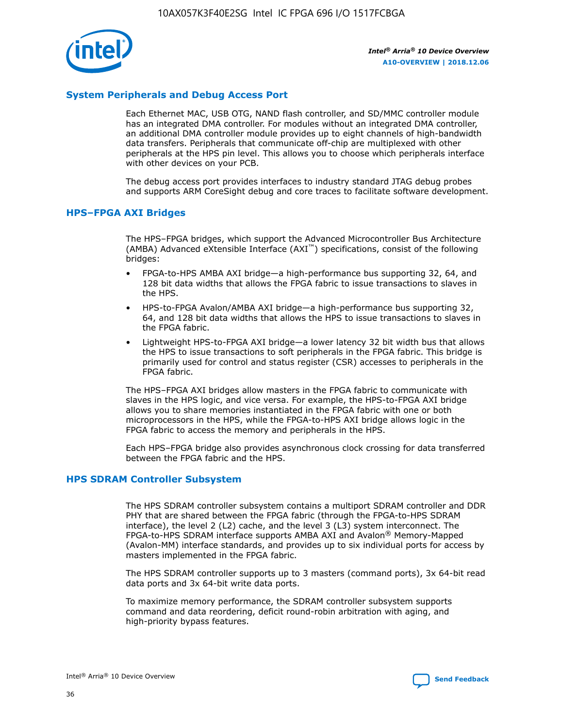

# **System Peripherals and Debug Access Port**

Each Ethernet MAC, USB OTG, NAND flash controller, and SD/MMC controller module has an integrated DMA controller. For modules without an integrated DMA controller, an additional DMA controller module provides up to eight channels of high-bandwidth data transfers. Peripherals that communicate off-chip are multiplexed with other peripherals at the HPS pin level. This allows you to choose which peripherals interface with other devices on your PCB.

The debug access port provides interfaces to industry standard JTAG debug probes and supports ARM CoreSight debug and core traces to facilitate software development.

## **HPS–FPGA AXI Bridges**

The HPS–FPGA bridges, which support the Advanced Microcontroller Bus Architecture (AMBA) Advanced eXtensible Interface (AXI™) specifications, consist of the following bridges:

- FPGA-to-HPS AMBA AXI bridge—a high-performance bus supporting 32, 64, and 128 bit data widths that allows the FPGA fabric to issue transactions to slaves in the HPS.
- HPS-to-FPGA Avalon/AMBA AXI bridge—a high-performance bus supporting 32, 64, and 128 bit data widths that allows the HPS to issue transactions to slaves in the FPGA fabric.
- Lightweight HPS-to-FPGA AXI bridge—a lower latency 32 bit width bus that allows the HPS to issue transactions to soft peripherals in the FPGA fabric. This bridge is primarily used for control and status register (CSR) accesses to peripherals in the FPGA fabric.

The HPS–FPGA AXI bridges allow masters in the FPGA fabric to communicate with slaves in the HPS logic, and vice versa. For example, the HPS-to-FPGA AXI bridge allows you to share memories instantiated in the FPGA fabric with one or both microprocessors in the HPS, while the FPGA-to-HPS AXI bridge allows logic in the FPGA fabric to access the memory and peripherals in the HPS.

Each HPS–FPGA bridge also provides asynchronous clock crossing for data transferred between the FPGA fabric and the HPS.

### **HPS SDRAM Controller Subsystem**

The HPS SDRAM controller subsystem contains a multiport SDRAM controller and DDR PHY that are shared between the FPGA fabric (through the FPGA-to-HPS SDRAM interface), the level 2 (L2) cache, and the level 3 (L3) system interconnect. The FPGA-to-HPS SDRAM interface supports AMBA AXI and Avalon® Memory-Mapped (Avalon-MM) interface standards, and provides up to six individual ports for access by masters implemented in the FPGA fabric.

The HPS SDRAM controller supports up to 3 masters (command ports), 3x 64-bit read data ports and 3x 64-bit write data ports.

To maximize memory performance, the SDRAM controller subsystem supports command and data reordering, deficit round-robin arbitration with aging, and high-priority bypass features.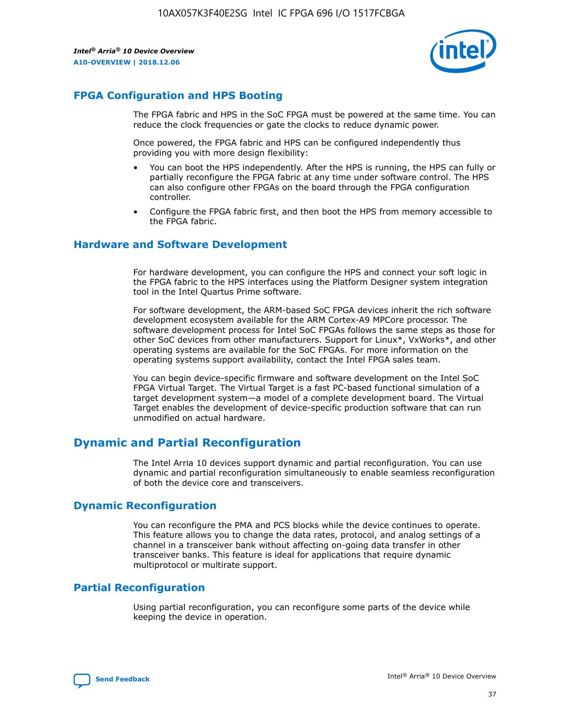

# **FPGA Configuration and HPS Booting**

The FPGA fabric and HPS in the SoC FPGA must be powered at the same time. You can reduce the clock frequencies or gate the clocks to reduce dynamic power.

Once powered, the FPGA fabric and HPS can be configured independently thus providing you with more design flexibility:

- You can boot the HPS independently. After the HPS is running, the HPS can fully or partially reconfigure the FPGA fabric at any time under software control. The HPS can also configure other FPGAs on the board through the FPGA configuration controller.
- Configure the FPGA fabric first, and then boot the HPS from memory accessible to the FPGA fabric.

## **Hardware and Software Development**

For hardware development, you can configure the HPS and connect your soft logic in the FPGA fabric to the HPS interfaces using the Platform Designer system integration tool in the Intel Quartus Prime software.

For software development, the ARM-based SoC FPGA devices inherit the rich software development ecosystem available for the ARM Cortex-A9 MPCore processor. The software development process for Intel SoC FPGAs follows the same steps as those for other SoC devices from other manufacturers. Support for Linux\*, VxWorks\*, and other operating systems are available for the SoC FPGAs. For more information on the operating systems support availability, contact the Intel FPGA sales team.

You can begin device-specific firmware and software development on the Intel SoC FPGA Virtual Target. The Virtual Target is a fast PC-based functional simulation of a target development system—a model of a complete development board. The Virtual Target enables the development of device-specific production software that can run unmodified on actual hardware.

# **Dynamic and Partial Reconfiguration**

The Intel Arria 10 devices support dynamic and partial reconfiguration. You can use dynamic and partial reconfiguration simultaneously to enable seamless reconfiguration of both the device core and transceivers.

# **Dynamic Reconfiguration**

You can reconfigure the PMA and PCS blocks while the device continues to operate. This feature allows you to change the data rates, protocol, and analog settings of a channel in a transceiver bank without affecting on-going data transfer in other transceiver banks. This feature is ideal for applications that require dynamic multiprotocol or multirate support.

# **Partial Reconfiguration**

Using partial reconfiguration, you can reconfigure some parts of the device while keeping the device in operation.

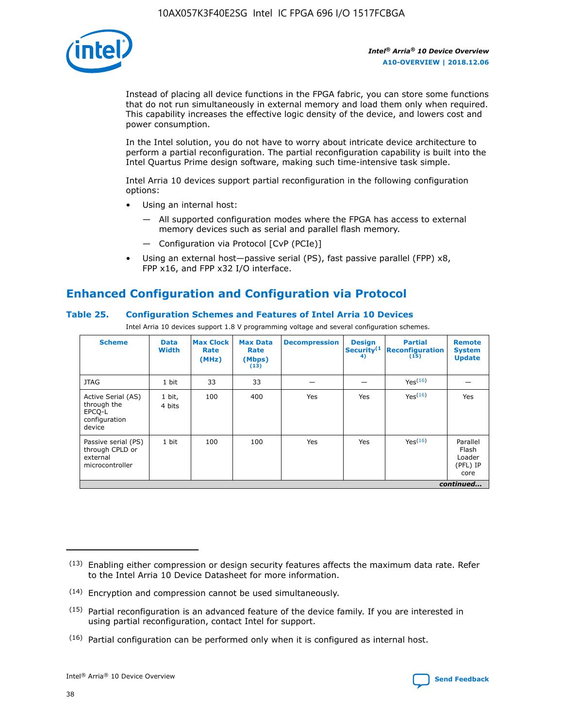

Instead of placing all device functions in the FPGA fabric, you can store some functions that do not run simultaneously in external memory and load them only when required. This capability increases the effective logic density of the device, and lowers cost and power consumption.

In the Intel solution, you do not have to worry about intricate device architecture to perform a partial reconfiguration. The partial reconfiguration capability is built into the Intel Quartus Prime design software, making such time-intensive task simple.

Intel Arria 10 devices support partial reconfiguration in the following configuration options:

- Using an internal host:
	- All supported configuration modes where the FPGA has access to external memory devices such as serial and parallel flash memory.
	- Configuration via Protocol [CvP (PCIe)]
- Using an external host—passive serial (PS), fast passive parallel (FPP) x8, FPP x16, and FPP x32 I/O interface.

# **Enhanced Configuration and Configuration via Protocol**

# **Table 25. Configuration Schemes and Features of Intel Arria 10 Devices**

Intel Arria 10 devices support 1.8 V programming voltage and several configuration schemes.

| <b>Scheme</b>                                                          | <b>Data</b><br><b>Width</b> | <b>Max Clock</b><br>Rate<br>(MHz) | <b>Max Data</b><br>Rate<br>(Mbps)<br>(13) | <b>Decompression</b> | <b>Design</b><br>Security <sup>(1</sup><br>4) | <b>Partial</b><br><b>Reconfiguration</b><br>(15) | <b>Remote</b><br><b>System</b><br><b>Update</b> |
|------------------------------------------------------------------------|-----------------------------|-----------------------------------|-------------------------------------------|----------------------|-----------------------------------------------|--------------------------------------------------|-------------------------------------------------|
| <b>JTAG</b>                                                            | 1 bit                       | 33                                | 33                                        |                      |                                               | Yes(16)                                          |                                                 |
| Active Serial (AS)<br>through the<br>EPCO-L<br>configuration<br>device | 1 bit,<br>4 bits            | 100                               | 400                                       | Yes                  | Yes                                           | $Y_{PS}(16)$                                     | Yes                                             |
| Passive serial (PS)<br>through CPLD or<br>external<br>microcontroller  | 1 bit                       | 100                               | 100                                       | Yes                  | Yes                                           | Yes(16)                                          | Parallel<br>Flash<br>Loader<br>(PFL) IP<br>core |
|                                                                        |                             |                                   |                                           |                      |                                               |                                                  | continued                                       |

<sup>(13)</sup> Enabling either compression or design security features affects the maximum data rate. Refer to the Intel Arria 10 Device Datasheet for more information.

<sup>(14)</sup> Encryption and compression cannot be used simultaneously.

 $(15)$  Partial reconfiguration is an advanced feature of the device family. If you are interested in using partial reconfiguration, contact Intel for support.

 $(16)$  Partial configuration can be performed only when it is configured as internal host.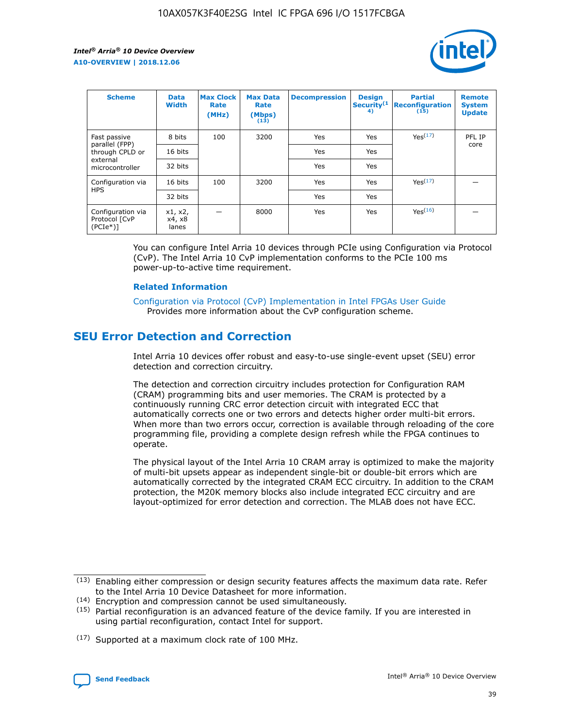

| <b>Scheme</b>                                    | <b>Data</b><br><b>Width</b> | <b>Max Clock</b><br>Rate<br>(MHz) | <b>Max Data</b><br>Rate<br>(Mbps)<br>(13) | <b>Decompression</b> | <b>Design</b><br>Security <sup>(1</sup><br>4) | <b>Partial</b><br><b>Reconfiguration</b><br>(15) | <b>Remote</b><br><b>System</b><br><b>Update</b> |
|--------------------------------------------------|-----------------------------|-----------------------------------|-------------------------------------------|----------------------|-----------------------------------------------|--------------------------------------------------|-------------------------------------------------|
| Fast passive                                     | 8 bits                      | 100                               | 3200                                      | Yes                  | Yes                                           | Yes(17)                                          | PFL IP                                          |
| parallel (FPP)<br>through CPLD or                | 16 bits                     |                                   |                                           | Yes                  | Yes                                           |                                                  | core                                            |
| external<br>microcontroller                      | 32 bits                     |                                   |                                           | Yes                  | Yes                                           |                                                  |                                                 |
| Configuration via                                | 16 bits                     | 100                               | 3200                                      | Yes                  | Yes                                           | Yes <sup>(17)</sup>                              |                                                 |
| <b>HPS</b>                                       | 32 bits                     |                                   |                                           | Yes                  | Yes                                           |                                                  |                                                 |
| Configuration via<br>Protocol [CvP<br>$(PCIe^*)$ | x1, x2,<br>x4, x8<br>lanes  |                                   | 8000                                      | Yes                  | Yes                                           | Yes(16)                                          |                                                 |

You can configure Intel Arria 10 devices through PCIe using Configuration via Protocol (CvP). The Intel Arria 10 CvP implementation conforms to the PCIe 100 ms power-up-to-active time requirement.

### **Related Information**

[Configuration via Protocol \(CvP\) Implementation in Intel FPGAs User Guide](https://www.intel.com/content/www/us/en/programmable/documentation/dsu1441819344145.html#dsu1442269728522) Provides more information about the CvP configuration scheme.

# **SEU Error Detection and Correction**

Intel Arria 10 devices offer robust and easy-to-use single-event upset (SEU) error detection and correction circuitry.

The detection and correction circuitry includes protection for Configuration RAM (CRAM) programming bits and user memories. The CRAM is protected by a continuously running CRC error detection circuit with integrated ECC that automatically corrects one or two errors and detects higher order multi-bit errors. When more than two errors occur, correction is available through reloading of the core programming file, providing a complete design refresh while the FPGA continues to operate.

The physical layout of the Intel Arria 10 CRAM array is optimized to make the majority of multi-bit upsets appear as independent single-bit or double-bit errors which are automatically corrected by the integrated CRAM ECC circuitry. In addition to the CRAM protection, the M20K memory blocks also include integrated ECC circuitry and are layout-optimized for error detection and correction. The MLAB does not have ECC.

(14) Encryption and compression cannot be used simultaneously.

<sup>(17)</sup> Supported at a maximum clock rate of 100 MHz.



 $(13)$  Enabling either compression or design security features affects the maximum data rate. Refer to the Intel Arria 10 Device Datasheet for more information.

 $(15)$  Partial reconfiguration is an advanced feature of the device family. If you are interested in using partial reconfiguration, contact Intel for support.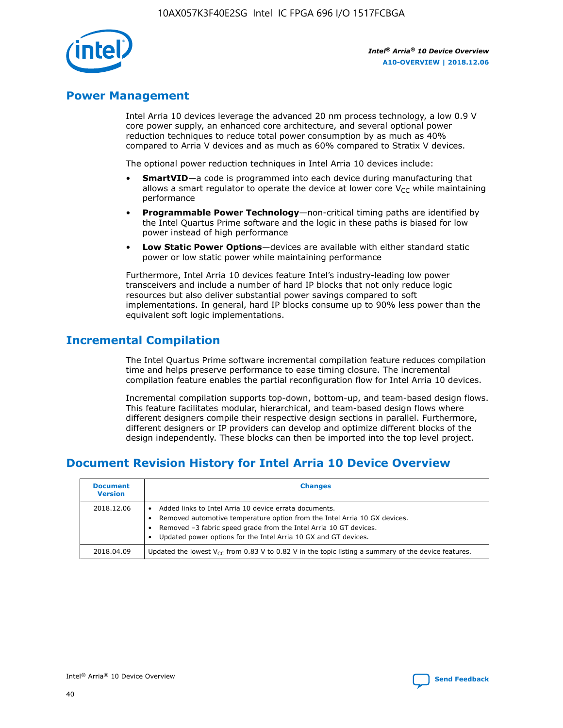

# **Power Management**

Intel Arria 10 devices leverage the advanced 20 nm process technology, a low 0.9 V core power supply, an enhanced core architecture, and several optional power reduction techniques to reduce total power consumption by as much as 40% compared to Arria V devices and as much as 60% compared to Stratix V devices.

The optional power reduction techniques in Intel Arria 10 devices include:

- **SmartVID**—a code is programmed into each device during manufacturing that allows a smart regulator to operate the device at lower core  $V_{CC}$  while maintaining performance
- **Programmable Power Technology**—non-critical timing paths are identified by the Intel Quartus Prime software and the logic in these paths is biased for low power instead of high performance
- **Low Static Power Options**—devices are available with either standard static power or low static power while maintaining performance

Furthermore, Intel Arria 10 devices feature Intel's industry-leading low power transceivers and include a number of hard IP blocks that not only reduce logic resources but also deliver substantial power savings compared to soft implementations. In general, hard IP blocks consume up to 90% less power than the equivalent soft logic implementations.

# **Incremental Compilation**

The Intel Quartus Prime software incremental compilation feature reduces compilation time and helps preserve performance to ease timing closure. The incremental compilation feature enables the partial reconfiguration flow for Intel Arria 10 devices.

Incremental compilation supports top-down, bottom-up, and team-based design flows. This feature facilitates modular, hierarchical, and team-based design flows where different designers compile their respective design sections in parallel. Furthermore, different designers or IP providers can develop and optimize different blocks of the design independently. These blocks can then be imported into the top level project.

# **Document Revision History for Intel Arria 10 Device Overview**

| <b>Document</b><br><b>Version</b> | <b>Changes</b>                                                                                                                                                                                                                                                              |
|-----------------------------------|-----------------------------------------------------------------------------------------------------------------------------------------------------------------------------------------------------------------------------------------------------------------------------|
| 2018.12.06                        | Added links to Intel Arria 10 device errata documents.<br>Removed automotive temperature option from the Intel Arria 10 GX devices.<br>Removed -3 fabric speed grade from the Intel Arria 10 GT devices.<br>Updated power options for the Intel Arria 10 GX and GT devices. |
| 2018.04.09                        | Updated the lowest $V_{CC}$ from 0.83 V to 0.82 V in the topic listing a summary of the device features.                                                                                                                                                                    |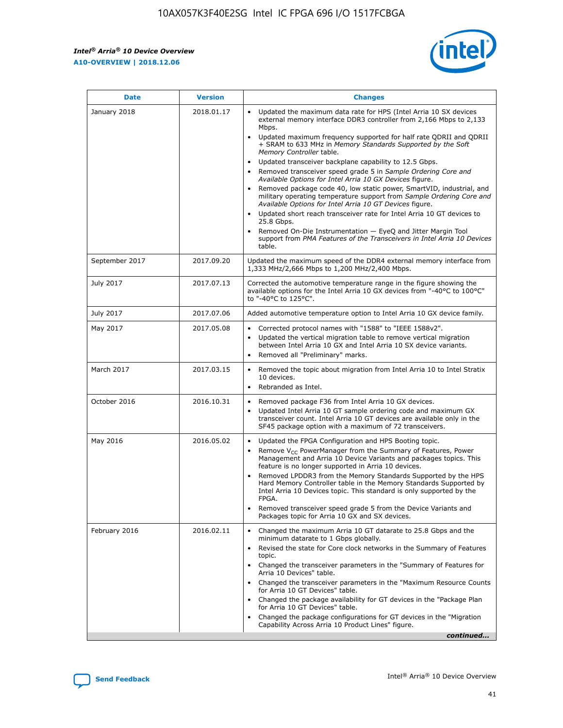$\mathsf{r}$ 



| January 2018<br>Updated the maximum data rate for HPS (Intel Arria 10 SX devices<br>2018.01.17<br>external memory interface DDR3 controller from 2,166 Mbps to 2,133<br>Mbps.<br>$\bullet$<br>+ SRAM to 633 MHz in Memory Standards Supported by the Soft<br>Memory Controller table.<br>Updated transceiver backplane capability to 12.5 Gbps.<br>$\bullet$<br>Removed transceiver speed grade 5 in Sample Ordering Core and<br>Available Options for Intel Arria 10 GX Devices figure.<br>Available Options for Intel Arria 10 GT Devices figure.<br>Updated short reach transceiver rate for Intel Arria 10 GT devices to<br>$\bullet$<br>25.8 Gbps.<br>Removed On-Die Instrumentation - EyeQ and Jitter Margin Tool<br>table.<br>2017.09.20<br>September 2017<br>1,333 MHz/2,666 Mbps to 1,200 MHz/2,400 Mbps.<br>July 2017<br>2017.07.13<br>Corrected the automotive temperature range in the figure showing the<br>available options for the Intel Arria 10 GX devices from "-40°C to 100°C"<br>to "-40°C to 125°C".<br>July 2017<br>2017.07.06<br>Added automotive temperature option to Intel Arria 10 GX device family.<br>2017.05.08<br>Corrected protocol names with "1588" to "IEEE 1588v2".<br>May 2017<br>$\bullet$<br>Updated the vertical migration table to remove vertical migration<br>$\bullet$<br>between Intel Arria 10 GX and Intel Arria 10 SX device variants.<br>Removed all "Preliminary" marks.<br>2017.03.15<br>March 2017<br>Removed the topic about migration from Intel Arria 10 to Intel Stratix<br>10 devices.<br>Rebranded as Intel.<br>$\bullet$<br>October 2016<br>2016.10.31<br>Removed package F36 from Intel Arria 10 GX devices.<br>$\bullet$<br>Updated Intel Arria 10 GT sample ordering code and maximum GX<br>$\bullet$<br>transceiver count. Intel Arria 10 GT devices are available only in the<br>SF45 package option with a maximum of 72 transceivers.<br>May 2016<br>2016.05.02<br>Updated the FPGA Configuration and HPS Booting topic.<br>Remove $V_{CC}$ PowerManager from the Summary of Features, Power<br>Management and Arria 10 Device Variants and packages topics. This<br>feature is no longer supported in Arria 10 devices.<br>Removed LPDDR3 from the Memory Standards Supported by the HPS<br>Hard Memory Controller table in the Memory Standards Supported by<br>Intel Arria 10 Devices topic. This standard is only supported by the<br>FPGA.<br>Removed transceiver speed grade 5 from the Device Variants and<br>Packages topic for Arria 10 GX and SX devices.<br>Changed the maximum Arria 10 GT datarate to 25.8 Gbps and the<br>February 2016<br>2016.02.11<br>minimum datarate to 1 Gbps globally.<br>Revised the state for Core clock networks in the Summary of Features<br>$\bullet$<br>topic.<br>• Changed the transceiver parameters in the "Summary of Features for<br>Arria 10 Devices" table.<br>for Arria 10 GT Devices" table.<br>• Changed the package availability for GT devices in the "Package Plan<br>for Arria 10 GT Devices" table.<br>Changed the package configurations for GT devices in the "Migration"<br>Capability Across Arria 10 Product Lines" figure. | <b>Date</b> | <b>Version</b> | <b>Changes</b>                                                                                                                                                                                                                                                                               |
|----------------------------------------------------------------------------------------------------------------------------------------------------------------------------------------------------------------------------------------------------------------------------------------------------------------------------------------------------------------------------------------------------------------------------------------------------------------------------------------------------------------------------------------------------------------------------------------------------------------------------------------------------------------------------------------------------------------------------------------------------------------------------------------------------------------------------------------------------------------------------------------------------------------------------------------------------------------------------------------------------------------------------------------------------------------------------------------------------------------------------------------------------------------------------------------------------------------------------------------------------------------------------------------------------------------------------------------------------------------------------------------------------------------------------------------------------------------------------------------------------------------------------------------------------------------------------------------------------------------------------------------------------------------------------------------------------------------------------------------------------------------------------------------------------------------------------------------------------------------------------------------------------------------------------------------------------------------------------------------------------------------------------------------------------------------------------------------------------------------------------------------------------------------------------------------------------------------------------------------------------------------------------------------------------------------------------------------------------------------------------------------------------------------------------------------------------------------------------------------------------------------------------------------------------------------------------------------------------------------------------------------------------------------------------------------------------------------------------------------------------------------------------------------------------------------------------------------------------------------------------------------------------------------------------------------------------------------------------------------------------------------------------------------------------------------------------------------------------------------------------------------------------------------|-------------|----------------|----------------------------------------------------------------------------------------------------------------------------------------------------------------------------------------------------------------------------------------------------------------------------------------------|
|                                                                                                                                                                                                                                                                                                                                                                                                                                                                                                                                                                                                                                                                                                                                                                                                                                                                                                                                                                                                                                                                                                                                                                                                                                                                                                                                                                                                                                                                                                                                                                                                                                                                                                                                                                                                                                                                                                                                                                                                                                                                                                                                                                                                                                                                                                                                                                                                                                                                                                                                                                                                                                                                                                                                                                                                                                                                                                                                                                                                                                                                                                                                                                |             |                | Updated maximum frequency supported for half rate QDRII and QDRII<br>Removed package code 40, low static power, SmartVID, industrial, and<br>military operating temperature support from Sample Ordering Core and<br>support from PMA Features of the Transceivers in Intel Arria 10 Devices |
|                                                                                                                                                                                                                                                                                                                                                                                                                                                                                                                                                                                                                                                                                                                                                                                                                                                                                                                                                                                                                                                                                                                                                                                                                                                                                                                                                                                                                                                                                                                                                                                                                                                                                                                                                                                                                                                                                                                                                                                                                                                                                                                                                                                                                                                                                                                                                                                                                                                                                                                                                                                                                                                                                                                                                                                                                                                                                                                                                                                                                                                                                                                                                                |             |                | Updated the maximum speed of the DDR4 external memory interface from                                                                                                                                                                                                                         |
|                                                                                                                                                                                                                                                                                                                                                                                                                                                                                                                                                                                                                                                                                                                                                                                                                                                                                                                                                                                                                                                                                                                                                                                                                                                                                                                                                                                                                                                                                                                                                                                                                                                                                                                                                                                                                                                                                                                                                                                                                                                                                                                                                                                                                                                                                                                                                                                                                                                                                                                                                                                                                                                                                                                                                                                                                                                                                                                                                                                                                                                                                                                                                                |             |                |                                                                                                                                                                                                                                                                                              |
|                                                                                                                                                                                                                                                                                                                                                                                                                                                                                                                                                                                                                                                                                                                                                                                                                                                                                                                                                                                                                                                                                                                                                                                                                                                                                                                                                                                                                                                                                                                                                                                                                                                                                                                                                                                                                                                                                                                                                                                                                                                                                                                                                                                                                                                                                                                                                                                                                                                                                                                                                                                                                                                                                                                                                                                                                                                                                                                                                                                                                                                                                                                                                                |             |                |                                                                                                                                                                                                                                                                                              |
|                                                                                                                                                                                                                                                                                                                                                                                                                                                                                                                                                                                                                                                                                                                                                                                                                                                                                                                                                                                                                                                                                                                                                                                                                                                                                                                                                                                                                                                                                                                                                                                                                                                                                                                                                                                                                                                                                                                                                                                                                                                                                                                                                                                                                                                                                                                                                                                                                                                                                                                                                                                                                                                                                                                                                                                                                                                                                                                                                                                                                                                                                                                                                                |             |                |                                                                                                                                                                                                                                                                                              |
|                                                                                                                                                                                                                                                                                                                                                                                                                                                                                                                                                                                                                                                                                                                                                                                                                                                                                                                                                                                                                                                                                                                                                                                                                                                                                                                                                                                                                                                                                                                                                                                                                                                                                                                                                                                                                                                                                                                                                                                                                                                                                                                                                                                                                                                                                                                                                                                                                                                                                                                                                                                                                                                                                                                                                                                                                                                                                                                                                                                                                                                                                                                                                                |             |                |                                                                                                                                                                                                                                                                                              |
|                                                                                                                                                                                                                                                                                                                                                                                                                                                                                                                                                                                                                                                                                                                                                                                                                                                                                                                                                                                                                                                                                                                                                                                                                                                                                                                                                                                                                                                                                                                                                                                                                                                                                                                                                                                                                                                                                                                                                                                                                                                                                                                                                                                                                                                                                                                                                                                                                                                                                                                                                                                                                                                                                                                                                                                                                                                                                                                                                                                                                                                                                                                                                                |             |                |                                                                                                                                                                                                                                                                                              |
|                                                                                                                                                                                                                                                                                                                                                                                                                                                                                                                                                                                                                                                                                                                                                                                                                                                                                                                                                                                                                                                                                                                                                                                                                                                                                                                                                                                                                                                                                                                                                                                                                                                                                                                                                                                                                                                                                                                                                                                                                                                                                                                                                                                                                                                                                                                                                                                                                                                                                                                                                                                                                                                                                                                                                                                                                                                                                                                                                                                                                                                                                                                                                                |             |                |                                                                                                                                                                                                                                                                                              |
|                                                                                                                                                                                                                                                                                                                                                                                                                                                                                                                                                                                                                                                                                                                                                                                                                                                                                                                                                                                                                                                                                                                                                                                                                                                                                                                                                                                                                                                                                                                                                                                                                                                                                                                                                                                                                                                                                                                                                                                                                                                                                                                                                                                                                                                                                                                                                                                                                                                                                                                                                                                                                                                                                                                                                                                                                                                                                                                                                                                                                                                                                                                                                                |             |                | Changed the transceiver parameters in the "Maximum Resource Counts"<br>continued                                                                                                                                                                                                             |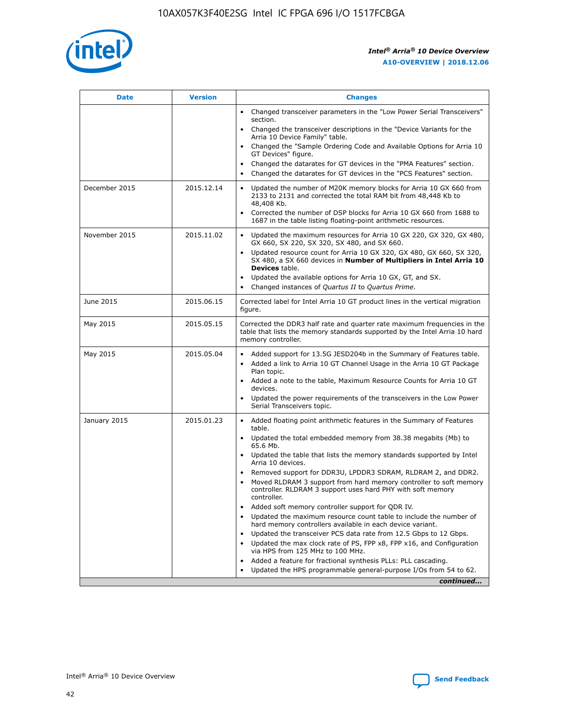

| <b>Date</b>   | <b>Version</b> | <b>Changes</b>                                                                                                                                                               |
|---------------|----------------|------------------------------------------------------------------------------------------------------------------------------------------------------------------------------|
|               |                | • Changed transceiver parameters in the "Low Power Serial Transceivers"<br>section.                                                                                          |
|               |                | • Changed the transceiver descriptions in the "Device Variants for the<br>Arria 10 Device Family" table.                                                                     |
|               |                | Changed the "Sample Ordering Code and Available Options for Arria 10<br>$\bullet$<br>GT Devices" figure.                                                                     |
|               |                | Changed the datarates for GT devices in the "PMA Features" section.                                                                                                          |
|               |                | Changed the datarates for GT devices in the "PCS Features" section.<br>$\bullet$                                                                                             |
| December 2015 | 2015.12.14     | Updated the number of M20K memory blocks for Arria 10 GX 660 from<br>2133 to 2131 and corrected the total RAM bit from 48,448 Kb to<br>48,408 Kb.                            |
|               |                | Corrected the number of DSP blocks for Arria 10 GX 660 from 1688 to<br>1687 in the table listing floating-point arithmetic resources.                                        |
| November 2015 | 2015.11.02     | Updated the maximum resources for Arria 10 GX 220, GX 320, GX 480,<br>$\bullet$<br>GX 660, SX 220, SX 320, SX 480, and SX 660.                                               |
|               |                | • Updated resource count for Arria 10 GX 320, GX 480, GX 660, SX 320,<br>SX 480, a SX 660 devices in Number of Multipliers in Intel Arria 10<br><b>Devices</b> table.        |
|               |                | Updated the available options for Arria 10 GX, GT, and SX.                                                                                                                   |
|               |                | Changed instances of Quartus II to Quartus Prime.<br>$\bullet$                                                                                                               |
| June 2015     | 2015.06.15     | Corrected label for Intel Arria 10 GT product lines in the vertical migration<br>figure.                                                                                     |
| May 2015      | 2015.05.15     | Corrected the DDR3 half rate and quarter rate maximum frequencies in the<br>table that lists the memory standards supported by the Intel Arria 10 hard<br>memory controller. |
| May 2015      | 2015.05.04     | • Added support for 13.5G JESD204b in the Summary of Features table.                                                                                                         |
|               |                | • Added a link to Arria 10 GT Channel Usage in the Arria 10 GT Package<br>Plan topic.                                                                                        |
|               |                | • Added a note to the table, Maximum Resource Counts for Arria 10 GT<br>devices.                                                                                             |
|               |                | • Updated the power requirements of the transceivers in the Low Power<br>Serial Transceivers topic.                                                                          |
| January 2015  | 2015.01.23     | • Added floating point arithmetic features in the Summary of Features<br>table.                                                                                              |
|               |                | • Updated the total embedded memory from 38.38 megabits (Mb) to<br>65.6 Mb.                                                                                                  |
|               |                | • Updated the table that lists the memory standards supported by Intel<br>Arria 10 devices.                                                                                  |
|               |                | Removed support for DDR3U, LPDDR3 SDRAM, RLDRAM 2, and DDR2.                                                                                                                 |
|               |                | Moved RLDRAM 3 support from hard memory controller to soft memory<br>controller. RLDRAM 3 support uses hard PHY with soft memory<br>controller.                              |
|               |                | Added soft memory controller support for QDR IV.<br>٠                                                                                                                        |
|               |                | Updated the maximum resource count table to include the number of<br>hard memory controllers available in each device variant.                                               |
|               |                | Updated the transceiver PCS data rate from 12.5 Gbps to 12 Gbps.<br>$\bullet$                                                                                                |
|               |                | Updated the max clock rate of PS, FPP x8, FPP x16, and Configuration<br>via HPS from 125 MHz to 100 MHz.                                                                     |
|               |                | Added a feature for fractional synthesis PLLs: PLL cascading.                                                                                                                |
|               |                | Updated the HPS programmable general-purpose I/Os from 54 to 62.<br>$\bullet$                                                                                                |
|               |                | continued                                                                                                                                                                    |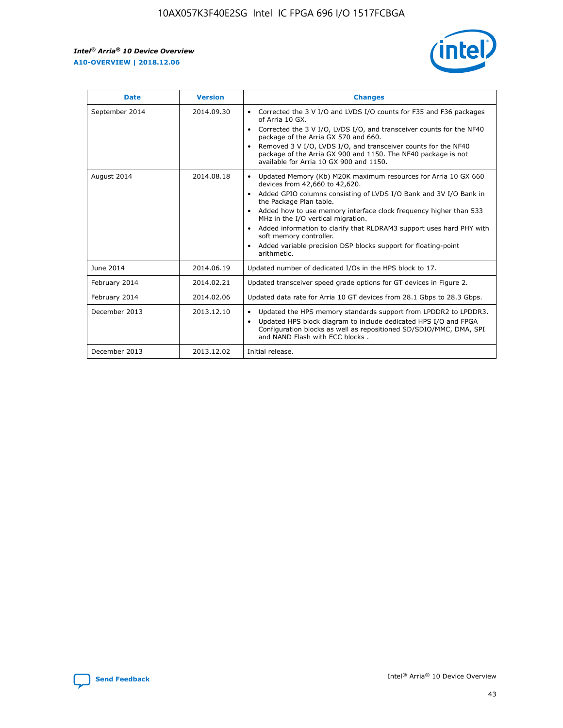r



| <b>Date</b>    | <b>Version</b> | <b>Changes</b>                                                                                                                                                                                                                                                                                                                                                                                                                                                                                                                                      |
|----------------|----------------|-----------------------------------------------------------------------------------------------------------------------------------------------------------------------------------------------------------------------------------------------------------------------------------------------------------------------------------------------------------------------------------------------------------------------------------------------------------------------------------------------------------------------------------------------------|
| September 2014 | 2014.09.30     | Corrected the 3 V I/O and LVDS I/O counts for F35 and F36 packages<br>$\bullet$<br>of Arria 10 GX.<br>Corrected the 3 V I/O, LVDS I/O, and transceiver counts for the NF40<br>$\bullet$<br>package of the Arria GX 570 and 660.<br>Removed 3 V I/O, LVDS I/O, and transceiver counts for the NF40<br>package of the Arria GX 900 and 1150. The NF40 package is not<br>available for Arria 10 GX 900 and 1150.                                                                                                                                       |
| August 2014    | 2014.08.18     | Updated Memory (Kb) M20K maximum resources for Arria 10 GX 660<br>devices from 42,660 to 42,620.<br>Added GPIO columns consisting of LVDS I/O Bank and 3V I/O Bank in<br>$\bullet$<br>the Package Plan table.<br>Added how to use memory interface clock frequency higher than 533<br>$\bullet$<br>MHz in the I/O vertical migration.<br>Added information to clarify that RLDRAM3 support uses hard PHY with<br>$\bullet$<br>soft memory controller.<br>Added variable precision DSP blocks support for floating-point<br>$\bullet$<br>arithmetic. |
| June 2014      | 2014.06.19     | Updated number of dedicated I/Os in the HPS block to 17.                                                                                                                                                                                                                                                                                                                                                                                                                                                                                            |
| February 2014  | 2014.02.21     | Updated transceiver speed grade options for GT devices in Figure 2.                                                                                                                                                                                                                                                                                                                                                                                                                                                                                 |
| February 2014  | 2014.02.06     | Updated data rate for Arria 10 GT devices from 28.1 Gbps to 28.3 Gbps.                                                                                                                                                                                                                                                                                                                                                                                                                                                                              |
| December 2013  | 2013.12.10     | Updated the HPS memory standards support from LPDDR2 to LPDDR3.<br>Updated HPS block diagram to include dedicated HPS I/O and FPGA<br>$\bullet$<br>Configuration blocks as well as repositioned SD/SDIO/MMC, DMA, SPI<br>and NAND Flash with ECC blocks.                                                                                                                                                                                                                                                                                            |
| December 2013  | 2013.12.02     | Initial release.                                                                                                                                                                                                                                                                                                                                                                                                                                                                                                                                    |